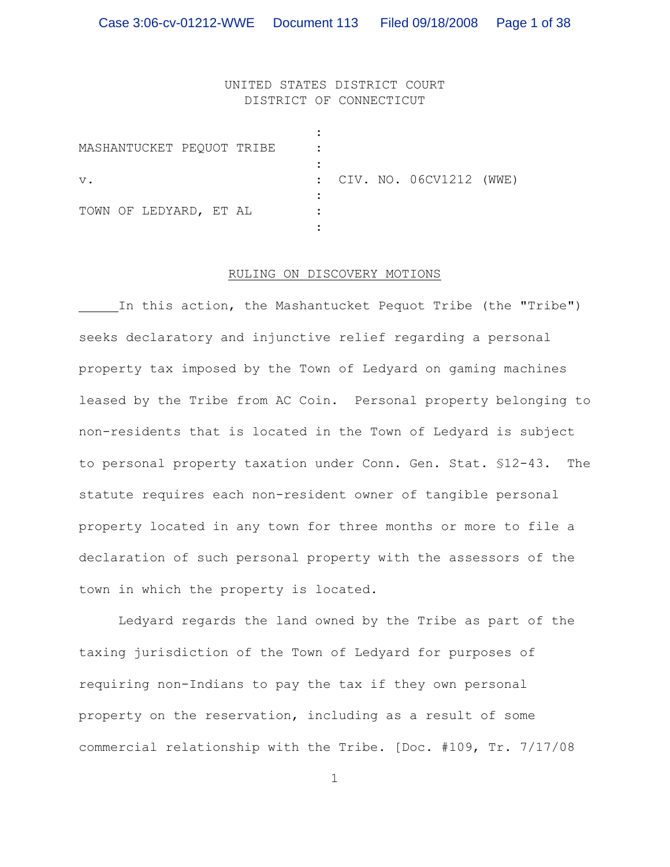# UNITED STATES DISTRICT COURT DISTRICT OF CONNECTICUT

| MASHANTUCKET PEQUOT TRIBE |                           |
|---------------------------|---------------------------|
| $V$ .                     | : CIV. NO. 06CV1212 (WWE) |
| TOWN OF LEDYARD, ET AL    |                           |

#### RULING ON DISCOVERY MOTIONS

In this action, the Mashantucket Pequot Tribe (the "Tribe") seeks declaratory and injunctive relief regarding a personal property tax imposed by the Town of Ledyard on gaming machines leased by the Tribe from AC Coin. Personal property belonging to non-residents that is located in the Town of Ledyard is subject to personal property taxation under Conn. Gen. Stat. §12-43. The statute requires each non-resident owner of tangible personal property located in any town for three months or more to file a declaration of such personal property with the assessors of the town in which the property is located.

Ledyard regards the land owned by the Tribe as part of the taxing jurisdiction of the Town of Ledyard for purposes of requiring non-Indians to pay the tax if they own personal property on the reservation, including as a result of some commercial relationship with the Tribe. [Doc. #109, Tr. 7/17/08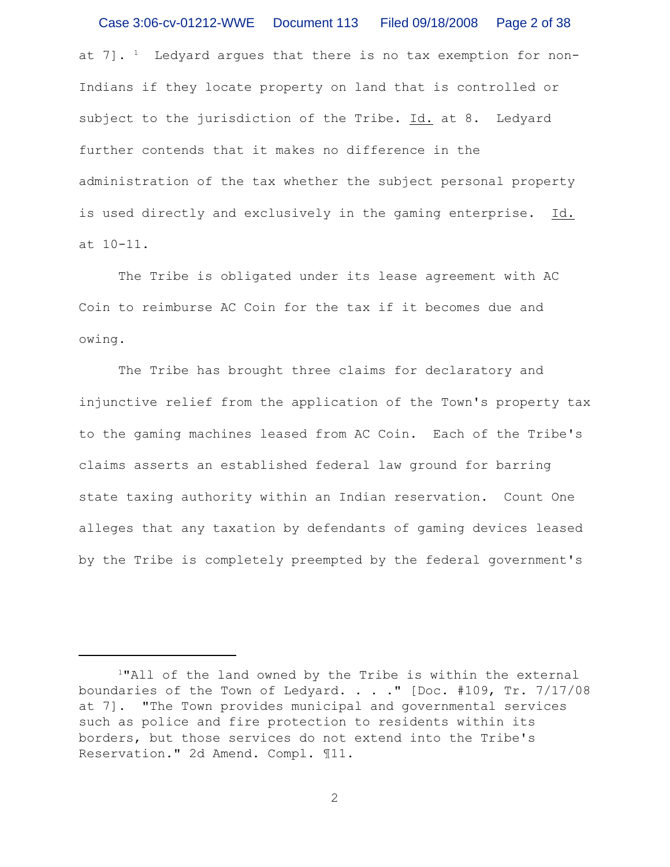at  $7$ ]. <sup>1</sup> Ledyard argues that there is no tax exemption for non-Indians if they locate property on land that is controlled or subject to the jurisdiction of the Tribe. Id. at 8. Ledyard further contends that it makes no difference in the administration of the tax whether the subject personal property is used directly and exclusively in the gaming enterprise. Id. at 10-11. Case 3:06-cv-01212-WWE Document 113 Filed 09/18/2008 Page 2 of 38

The Tribe is obligated under its lease agreement with AC Coin to reimburse AC Coin for the tax if it becomes due and owing.

The Tribe has brought three claims for declaratory and injunctive relief from the application of the Town's property tax to the gaming machines leased from AC Coin. Each of the Tribe's claims asserts an established federal law ground for barring state taxing authority within an Indian reservation. Count One alleges that any taxation by defendants of gaming devices leased by the Tribe is completely preempted by the federal government's

<sup>&</sup>lt;sup>1</sup>"All of the land owned by the Tribe is within the external boundaries of the Town of Ledyard. . . ." [Doc. #109, Tr. 7/17/08 at 7]. "The Town provides municipal and governmental services such as police and fire protection to residents within its borders, but those services do not extend into the Tribe's Reservation." 2d Amend. Compl. ¶11.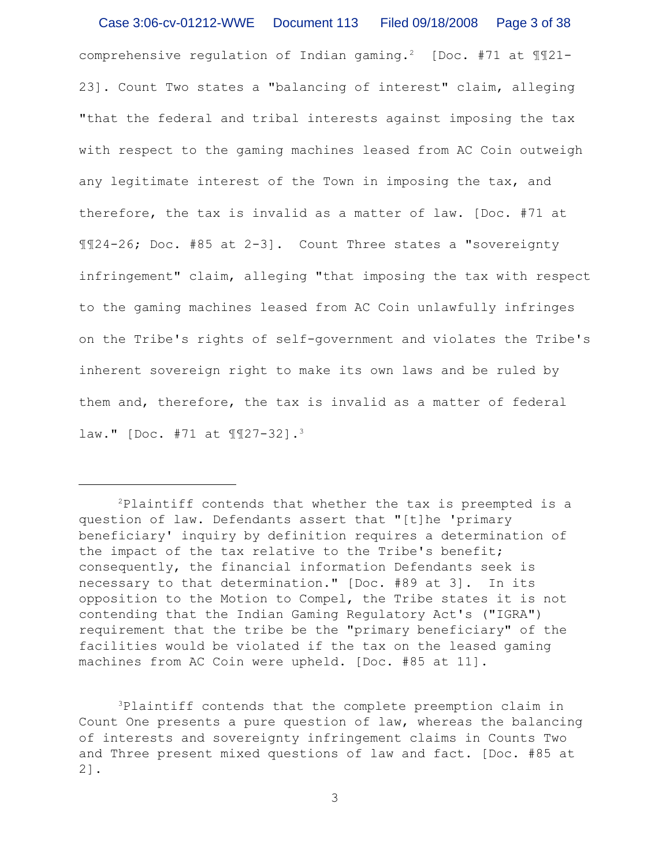comprehensive regulation of Indian gaming.<sup>2</sup> [Doc. #71 at  $\mathbb{I}\mathbb{I}21$ -23]. Count Two states a "balancing of interest" claim, alleging "that the federal and tribal interests against imposing the tax with respect to the gaming machines leased from AC Coin outweigh any legitimate interest of the Town in imposing the tax, and therefore, the tax is invalid as a matter of law. [Doc. #71 at ¶¶24-26; Doc. #85 at 2-3]. Count Three states a "sovereignty infringement" claim, alleging "that imposing the tax with respect to the gaming machines leased from AC Coin unlawfully infringes on the Tribe's rights of self-government and violates the Tribe's inherent sovereign right to make its own laws and be ruled by them and, therefore, the tax is invalid as a matter of federal law." [Doc. #71 at ¶¶27-32].<sup>3</sup> Case 3:06-cv-01212-WWE Document 113 Filed 09/18/2008 Page 3 of 38

<sup>3</sup>Plaintiff contends that the complete preemption claim in Count One presents a pure question of law, whereas the balancing of interests and sovereignty infringement claims in Counts Two and Three present mixed questions of law and fact. [Doc. #85 at 2].

 $P$ laintiff contends that whether the tax is preempted is a question of law. Defendants assert that "[t]he 'primary beneficiary' inquiry by definition requires a determination of the impact of the tax relative to the Tribe's benefit; consequently, the financial information Defendants seek is necessary to that determination." [Doc. #89 at 3]. In its opposition to the Motion to Compel, the Tribe states it is not contending that the Indian Gaming Regulatory Act's ("IGRA") requirement that the tribe be the "primary beneficiary" of the facilities would be violated if the tax on the leased gaming machines from AC Coin were upheld. [Doc. #85 at 11].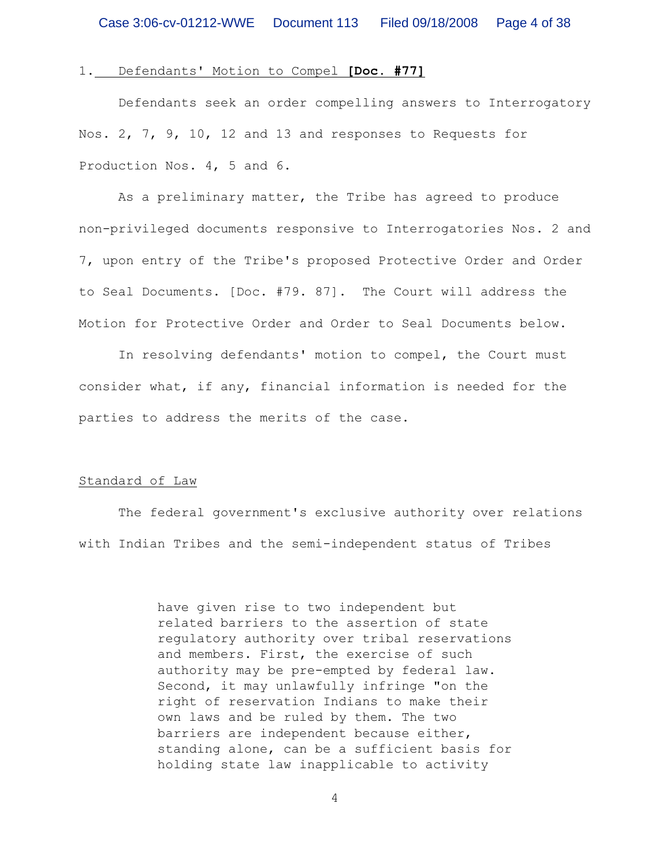#### 1. Defendants' Motion to Compel **[Doc. #77]**

Defendants seek an order compelling answers to Interrogatory Nos. 2, 7, 9, 10, 12 and 13 and responses to Requests for Production Nos. 4, 5 and 6.

As a preliminary matter, the Tribe has agreed to produce non-privileged documents responsive to Interrogatories Nos. 2 and 7, upon entry of the Tribe's proposed Protective Order and Order to Seal Documents. [Doc. #79. 87]. The Court will address the Motion for Protective Order and Order to Seal Documents below.

In resolving defendants' motion to compel, the Court must consider what, if any, financial information is needed for the parties to address the merits of the case.

# Standard of Law

The federal government's exclusive authority over relations with Indian Tribes and the semi-independent status of Tribes

> have given rise to two independent but related barriers to the assertion of state regulatory authority over tribal reservations and members. First, the exercise of such authority may be pre-empted by federal law. Second, it may unlawfully infringe "on the right of reservation Indians to make their own laws and be ruled by them. The two barriers are independent because either, standing alone, can be a sufficient basis for holding state law inapplicable to activity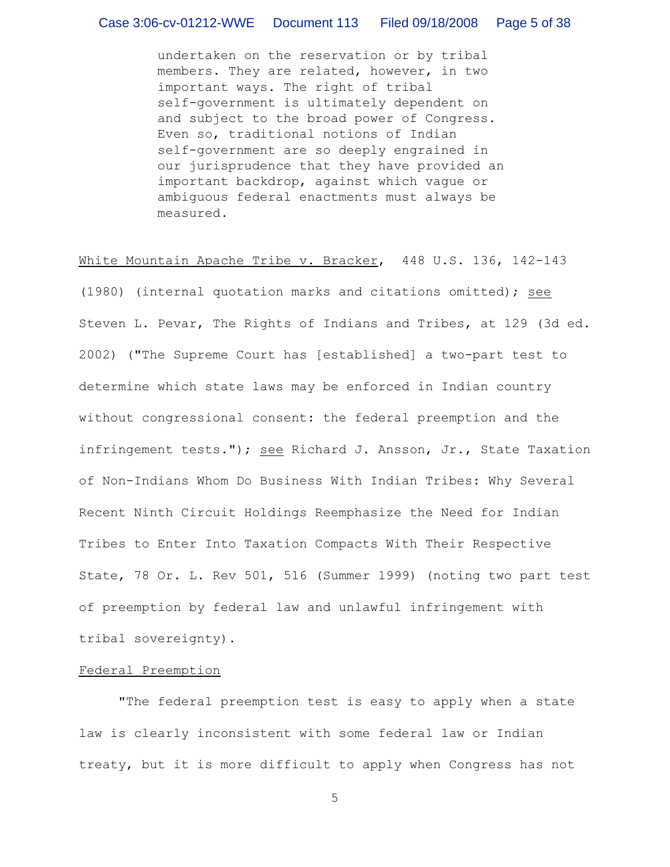undertaken on the reservation or by tribal members. They are related, however, in two important ways. The right of tribal self-government is ultimately dependent on and subject to the broad power of Congress. Even so, traditional notions of Indian self-government are so deeply engrained in our jurisprudence that they have provided an important backdrop, against which vague or ambiguous federal enactments must always be measured.

### White Mountain Apache Tribe v. Bracker, 448 U.S. 136, 142-143

(1980) (internal quotation marks and citations omitted); see Steven L. Pevar, The Rights of Indians and Tribes, at 129 (3d ed. 2002) ("The Supreme Court has [established] a two-part test to determine which state laws may be enforced in Indian country without congressional consent: the federal preemption and the infringement tests."); see Richard J. Ansson, Jr., State Taxation of Non-Indians Whom Do Business With Indian Tribes: Why Several Recent Ninth Circuit Holdings Reemphasize the Need for Indian Tribes to Enter Into Taxation Compacts With Their Respective State, 78 Or. L. Rev 501, 516 (Summer 1999) (noting two part test of preemption by federal law and unlawful infringement with tribal sovereignty).

#### Federal Preemption

"The federal preemption test is easy to apply when a state law is clearly inconsistent with some federal law or Indian treaty, but it is more difficult to apply when Congress has not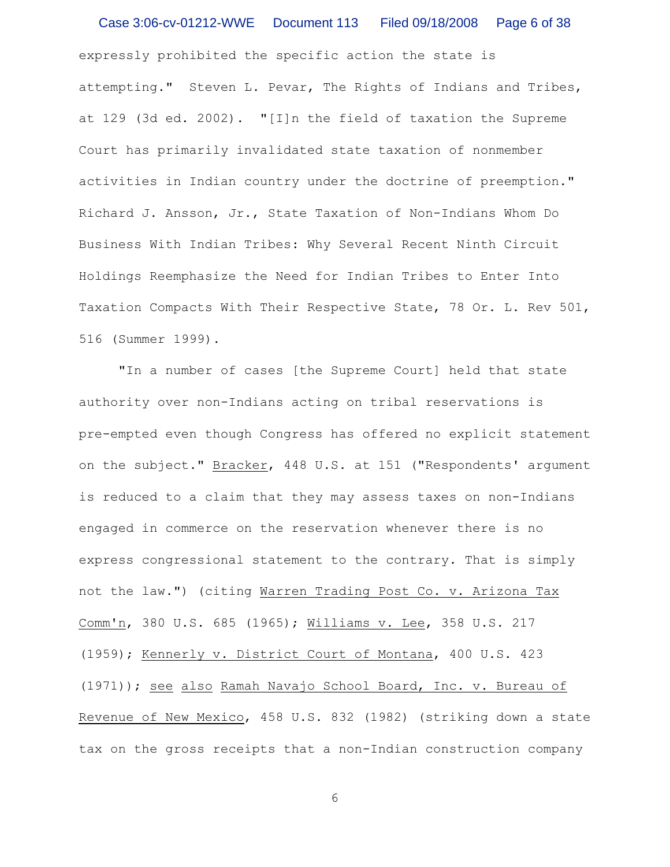expressly prohibited the specific action the state is attempting." Steven L. Pevar, The Rights of Indians and Tribes, at 129 (3d ed. 2002). "[I]n the field of taxation the Supreme Court has primarily invalidated state taxation of nonmember activities in Indian country under the doctrine of preemption." Richard J. Ansson, Jr., State Taxation of Non-Indians Whom Do Business With Indian Tribes: Why Several Recent Ninth Circuit Holdings Reemphasize the Need for Indian Tribes to Enter Into Taxation Compacts With Their Respective State, 78 Or. L. Rev 501, 516 (Summer 1999). Case 3:06-cv-01212-WWE Document 113 Filed 09/18/2008 Page 6 of 38

"In a number of cases [the Supreme Court] held that state authority over non-Indians acting on tribal reservations is pre-empted even though Congress has offered no explicit statement on the subject." Bracker, 448 U.S. at 151 ("Respondents' argument is reduced to a claim that they may assess taxes on non-Indians engaged in commerce on the reservation whenever there is no express congressional statement to the contrary. That is simply not the law.") (citing Warren Trading Post Co. v. Arizona Tax Comm'n, 380 U.S. 685 (1965); Williams v. Lee, 358 U.S. 217 (1959); Kennerly v. District Court of Montana, 400 U.S. 423 (1971)); see also Ramah Navajo School Board, Inc. v. Bureau of Revenue of New Mexico, 458 U.S. 832 (1982) (striking down a state tax on the gross receipts that a non-Indian construction company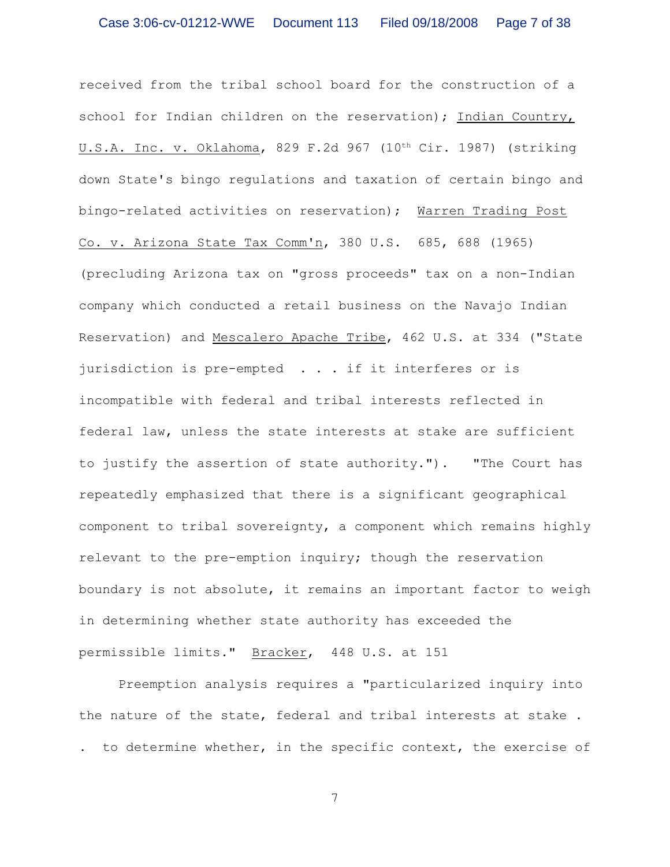received from the tribal school board for the construction of a school for Indian children on the reservation); Indian Country, U.S.A. Inc. v. Oklahoma, 829 F.2d 967 (10<sup>th</sup> Cir. 1987) (striking down State's bingo regulations and taxation of certain bingo and bingo-related activities on reservation); Warren Trading Post Co. v. Arizona State Tax Comm'n, 380 U.S. 685, 688 (1965) (precluding Arizona tax on "gross proceeds" tax on a non-Indian company which conducted a retail business on the Navajo Indian Reservation) and Mescalero Apache Tribe, 462 U.S. at 334 ("State jurisdiction is pre-empted . . . if it interferes or is incompatible with federal and tribal interests reflected in federal law, unless the state interests at stake are sufficient to justify the assertion of state authority."). "The Court has repeatedly emphasized that there is a significant geographical component to tribal sovereignty, a component which remains highly relevant to the pre-emption inquiry; though the reservation boundary is not absolute, it remains an important factor to weigh in determining whether state authority has exceeded the permissible limits." Bracker, 448 U.S. at 151

Preemption analysis requires a "particularized inquiry into the nature of the state, federal and tribal interests at stake . . to determine whether, in the specific context, the exercise of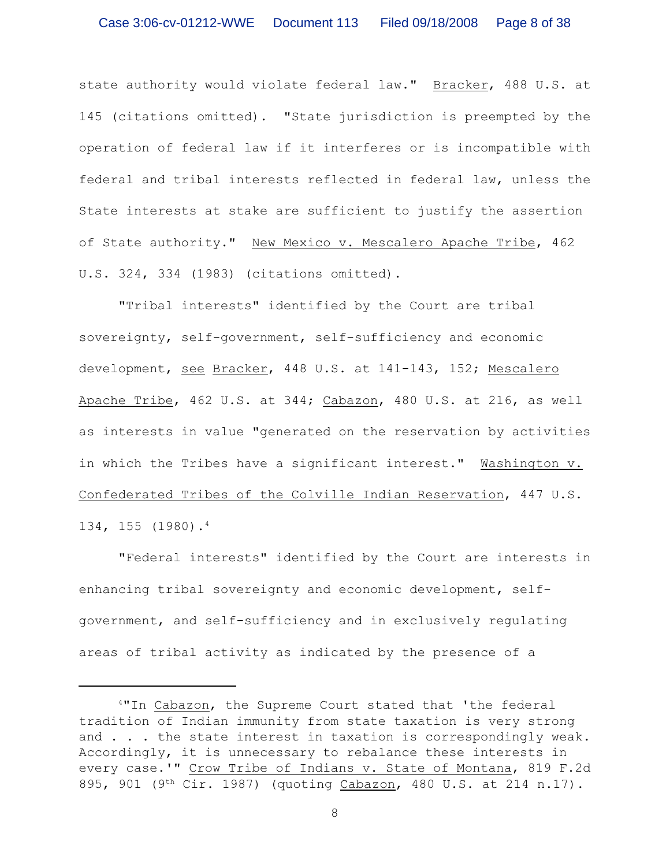state authority would violate federal law." Bracker, 488 U.S. at 145 (citations omitted). "State jurisdiction is preempted by the operation of federal law if it interferes or is incompatible with federal and tribal interests reflected in federal law, unless the State interests at stake are sufficient to justify the assertion of State authority." New Mexico v. Mescalero Apache Tribe, 462 U.S. 324, 334 (1983) (citations omitted).

"Tribal interests" identified by the Court are tribal sovereignty, self-government, self-sufficiency and economic development, see Bracker, 448 U.S. at 141-143, 152; Mescalero Apache Tribe, 462 U.S. at 344; Cabazon, 480 U.S. at 216, as well as interests in value "generated on the reservation by activities in which the Tribes have a significant interest." Washington v. Confederated Tribes of the Colville Indian Reservation, 447 U.S. 134, 155 (1980).<sup>4</sup>

"Federal interests" identified by the Court are interests in enhancing tribal sovereignty and economic development, selfgovernment, and self-sufficiency and in exclusively regulating areas of tribal activity as indicated by the presence of a

<sup>4&</sup>quot;In Cabazon, the Supreme Court stated that 'the federal tradition of Indian immunity from state taxation is very strong and . . . the state interest in taxation is correspondingly weak. Accordingly, it is unnecessary to rebalance these interests in every case.'" Crow Tribe of Indians v. State of Montana, 819 F.2d 895, 901 (9<sup>th</sup> Cir. 1987) (quoting Cabazon, 480 U.S. at 214 n.17).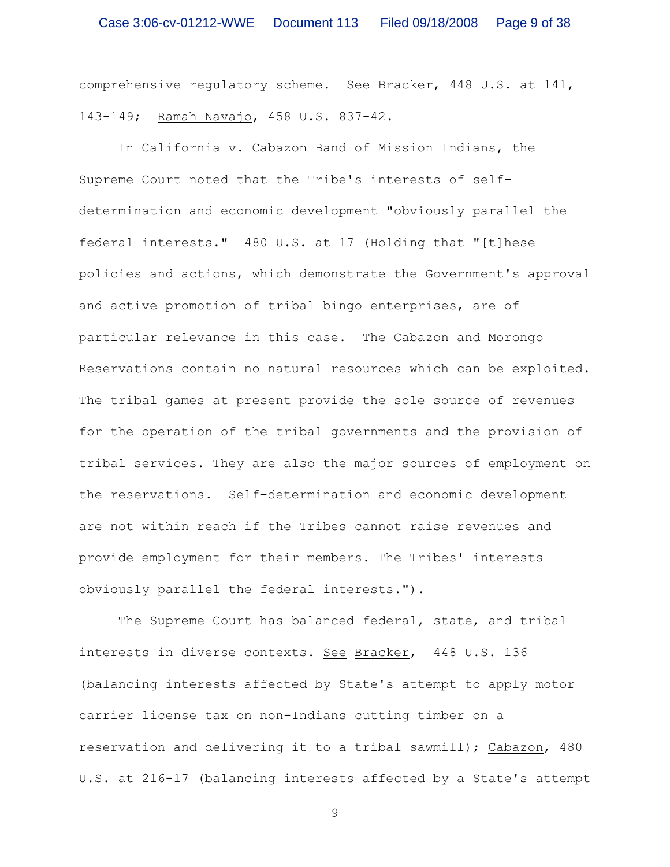comprehensive regulatory scheme. See Bracker, 448 U.S. at 141, 143-149; Ramah Navajo, 458 U.S. 837-42.

In California v. Cabazon Band of Mission Indians, the Supreme Court noted that the Tribe's interests of selfdetermination and economic development "obviously parallel the federal interests." 480 U.S. at 17 (Holding that "[t]hese policies and actions, which demonstrate the Government's approval and active promotion of tribal bingo enterprises, are of particular relevance in this case. The Cabazon and Morongo Reservations contain no natural resources which can be exploited. The tribal games at present provide the sole source of revenues for the operation of the tribal governments and the provision of tribal services. They are also the major sources of employment on the reservations. Self-determination and economic development are not within reach if the Tribes cannot raise revenues and provide employment for their members. The Tribes' interests obviously parallel the federal interests.").

The Supreme Court has balanced federal, state, and tribal interests in diverse contexts. See Bracker, 448 U.S. 136 (balancing interests affected by State's attempt to apply motor carrier license tax on non-Indians cutting timber on a reservation and delivering it to a tribal sawmill); Cabazon, 480 U.S. at 216-17 (balancing interests affected by a State's attempt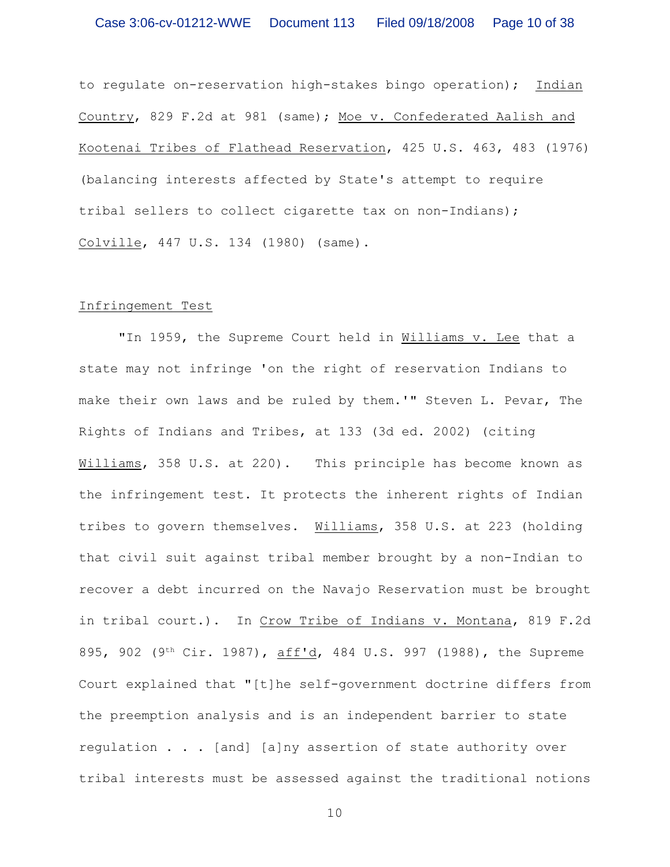to regulate on-reservation high-stakes bingo operation); Indian Country, 829 F.2d at 981 (same); Moe v. Confederated Aalish and Kootenai Tribes of Flathead Reservation, 425 U.S. 463, 483 (1976) (balancing interests affected by State's attempt to require tribal sellers to collect cigarette tax on non-Indians); Colville, 447 U.S. 134 (1980) (same).

#### Infringement Test

"In 1959, the Supreme Court held in Williams v. Lee that a state may not infringe 'on the right of reservation Indians to make their own laws and be ruled by them.'" Steven L. Pevar, The Rights of Indians and Tribes, at 133 (3d ed. 2002) (citing Williams, 358 U.S. at 220). This principle has become known as the infringement test. It protects the inherent rights of Indian tribes to govern themselves. Williams, 358 U.S. at 223 (holding that civil suit against tribal member brought by a non-Indian to recover a debt incurred on the Navajo Reservation must be brought in tribal court.). In Crow Tribe of Indians v. Montana, 819 F.2d 895, 902 (9<sup>th</sup> Cir. 1987), aff'd, 484 U.S. 997 (1988), the Supreme Court explained that "[t]he self-government doctrine differs from the preemption analysis and is an independent barrier to state regulation . . . [and] [a]ny assertion of state authority over tribal interests must be assessed against the traditional notions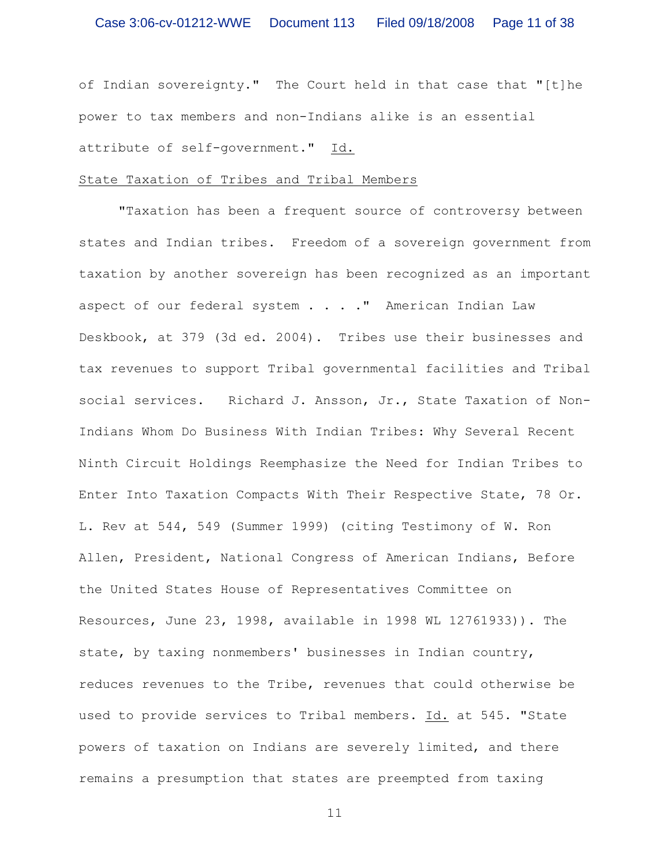of Indian sovereignty." The Court held in that case that "[t]he power to tax members and non-Indians alike is an essential attribute of self-government." Id.

#### State Taxation of Tribes and Tribal Members

"Taxation has been a frequent source of controversy between states and Indian tribes. Freedom of a sovereign government from taxation by another sovereign has been recognized as an important aspect of our federal system . . . . " American Indian Law Deskbook, at 379 (3d ed. 2004). Tribes use their businesses and tax revenues to support Tribal governmental facilities and Tribal social services. Richard J. Ansson, Jr., State Taxation of Non-Indians Whom Do Business With Indian Tribes: Why Several Recent Ninth Circuit Holdings Reemphasize the Need for Indian Tribes to Enter Into Taxation Compacts With Their Respective State, 78 Or. L. Rev at 544, 549 (Summer 1999) (citing Testimony of W. Ron Allen, President, National Congress of American Indians, Before the United States House of Representatives Committee on Resources, June 23, 1998, available in 1998 WL 12761933)). The state, by taxing nonmembers' businesses in Indian country, reduces revenues to the Tribe, revenues that could otherwise be used to provide services to Tribal members. Id. at 545. "State powers of taxation on Indians are severely limited, and there remains a presumption that states are preempted from taxing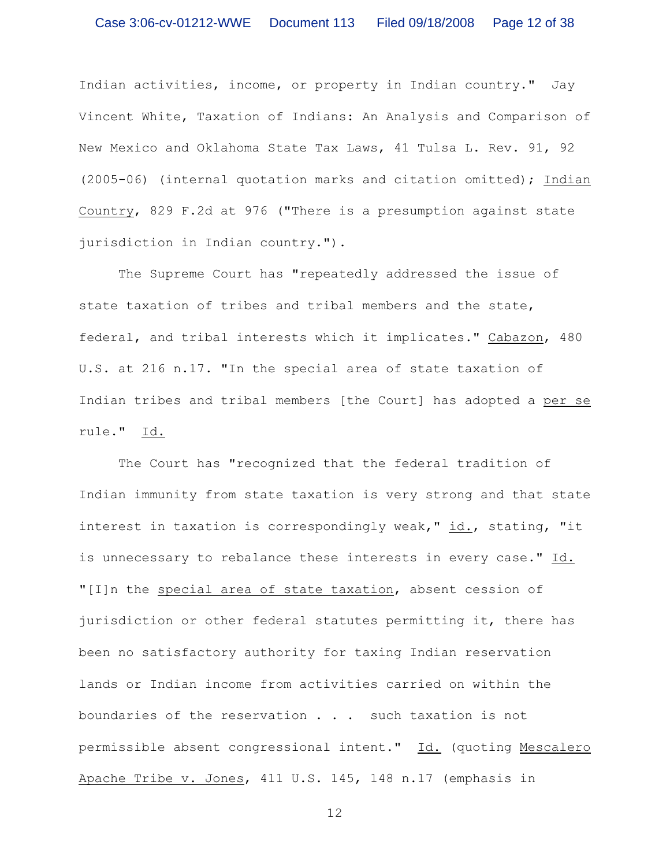Indian activities, income, or property in Indian country." Jay Vincent White, Taxation of Indians: An Analysis and Comparison of New Mexico and Oklahoma State Tax Laws, 41 Tulsa L. Rev. 91, 92 (2005-06) (internal quotation marks and citation omitted); Indian Country, 829 F.2d at 976 ("There is a presumption against state jurisdiction in Indian country.").

The Supreme Court has "repeatedly addressed the issue of state taxation of tribes and tribal members and the state, federal, and tribal interests which it implicates." Cabazon, 480 U.S. at 216 n.17. "In the special area of state taxation of Indian tribes and tribal members [the Court] has adopted a per se rule." Id.

The Court has "recognized that the federal tradition of Indian immunity from state taxation is very strong and that state interest in taxation is correspondingly weak," id., stating, "it is unnecessary to rebalance these interests in every case." Id. "[I]n the special area of state taxation, absent cession of jurisdiction or other federal statutes permitting it, there has been no satisfactory authority for taxing Indian reservation lands or Indian income from activities carried on within the boundaries of the reservation . . . such taxation is not permissible absent congressional intent." Id. (quoting Mescalero Apache Tribe v. Jones, 411 U.S. 145, 148 n.17 (emphasis in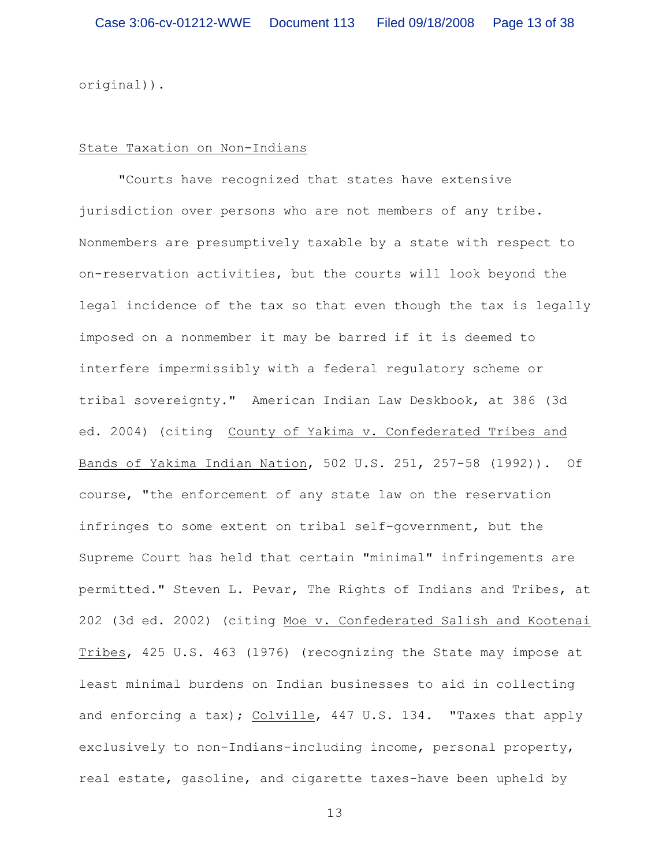original)).

#### State Taxation on Non-Indians

"Courts have recognized that states have extensive jurisdiction over persons who are not members of any tribe. Nonmembers are presumptively taxable by a state with respect to on-reservation activities, but the courts will look beyond the legal incidence of the tax so that even though the tax is legally imposed on a nonmember it may be barred if it is deemed to interfere impermissibly with a federal regulatory scheme or tribal sovereignty." American Indian Law Deskbook, at 386 (3d ed. 2004) (citing County of Yakima v. Confederated Tribes and Bands of Yakima Indian Nation, 502 U.S. 251, 257-58 (1992)). Of course, "the enforcement of any state law on the reservation infringes to some extent on tribal self-government, but the Supreme Court has held that certain "minimal" infringements are permitted." Steven L. Pevar, The Rights of Indians and Tribes, at 202 (3d ed. 2002) (citing Moe v. Confederated Salish and Kootenai Tribes, 425 U.S. 463 (1976) (recognizing the State may impose at least minimal burdens on Indian businesses to aid in collecting and enforcing a tax); Colville, 447 U.S. 134. "Taxes that apply exclusively to non-Indians-including income, personal property, real estate, gasoline, and cigarette taxes-have been upheld by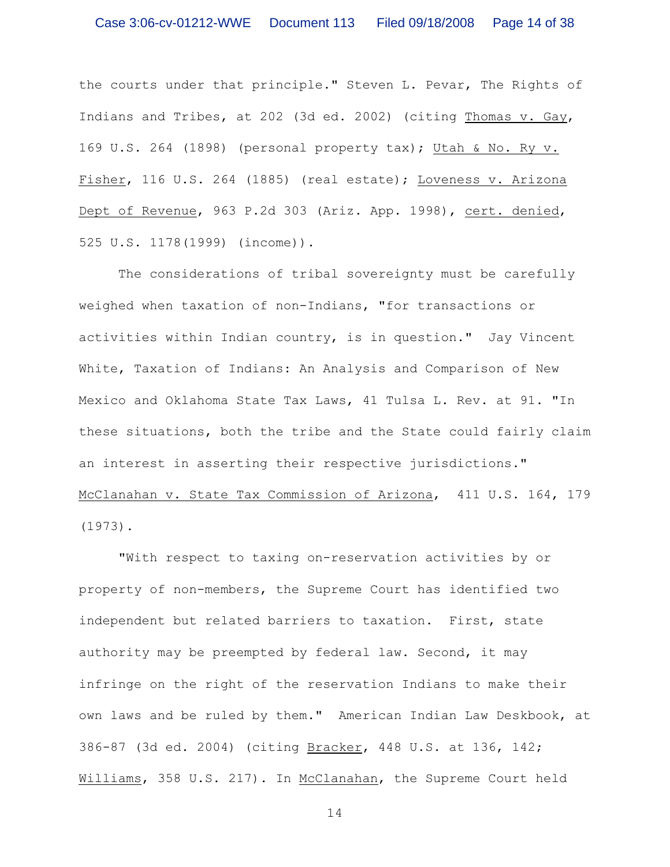the courts under that principle." Steven L. Pevar, The Rights of Indians and Tribes, at 202 (3d ed. 2002) (citing Thomas v. Gay, 169 U.S. 264 (1898) (personal property tax); Utah & No. Ry v. Fisher, 116 U.S. 264 (1885) (real estate); Loveness v. Arizona Dept of Revenue, 963 P.2d 303 (Ariz. App. 1998), cert. denied, 525 U.S. 1178(1999) (income)).

The considerations of tribal sovereignty must be carefully weighed when taxation of non-Indians, "for transactions or activities within Indian country, is in question." Jay Vincent White, Taxation of Indians: An Analysis and Comparison of New Mexico and Oklahoma State Tax Laws, 41 Tulsa L. Rev. at 91. "In these situations, both the tribe and the State could fairly claim an interest in asserting their respective jurisdictions." McClanahan v. State Tax Commission of Arizona, 411 U.S. 164, 179 (1973).

"With respect to taxing on-reservation activities by or property of non-members, the Supreme Court has identified two independent but related barriers to taxation. First, state authority may be preempted by federal law. Second, it may infringe on the right of the reservation Indians to make their own laws and be ruled by them." American Indian Law Deskbook, at 386-87 (3d ed. 2004) (citing Bracker, 448 U.S. at 136, 142; Williams, 358 U.S. 217). In McClanahan, the Supreme Court held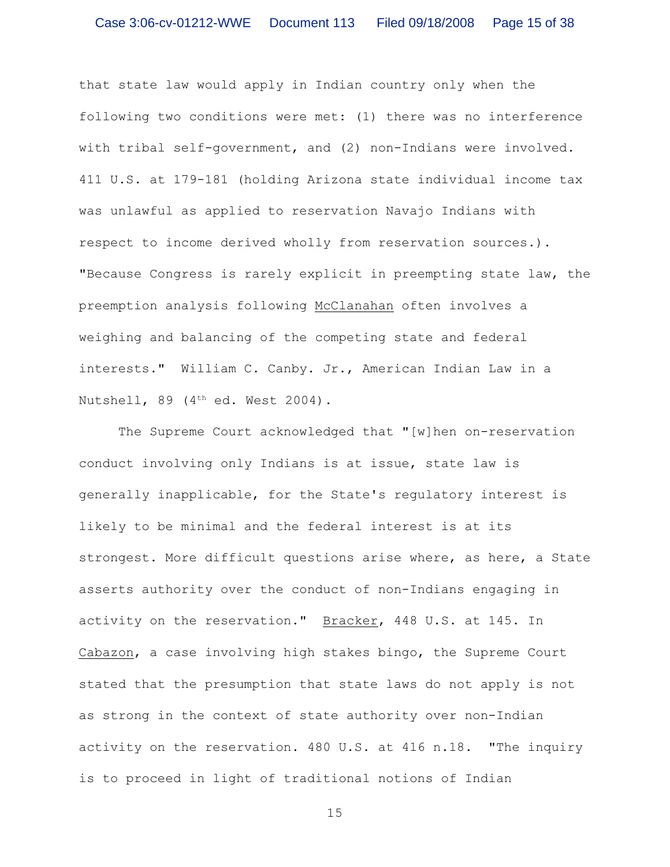that state law would apply in Indian country only when the following two conditions were met: (1) there was no interference with tribal self-government, and (2) non-Indians were involved. 411 U.S. at 179-181 (holding Arizona state individual income tax was unlawful as applied to reservation Navajo Indians with respect to income derived wholly from reservation sources.). "Because Congress is rarely explicit in preempting state law, the preemption analysis following McClanahan often involves a weighing and balancing of the competing state and federal interests." William C. Canby. Jr., American Indian Law in a Nutshell, 89 ( $4<sup>th</sup>$  ed. West 2004).

The Supreme Court acknowledged that "[w]hen on-reservation conduct involving only Indians is at issue, state law is generally inapplicable, for the State's regulatory interest is likely to be minimal and the federal interest is at its strongest. More difficult questions arise where, as here, a State asserts authority over the conduct of non-Indians engaging in activity on the reservation." Bracker, 448 U.S. at 145. In Cabazon, a case involving high stakes bingo, the Supreme Court stated that the presumption that state laws do not apply is not as strong in the context of state authority over non-Indian activity on the reservation. 480 U.S. at 416 n.18. "The inquiry is to proceed in light of traditional notions of Indian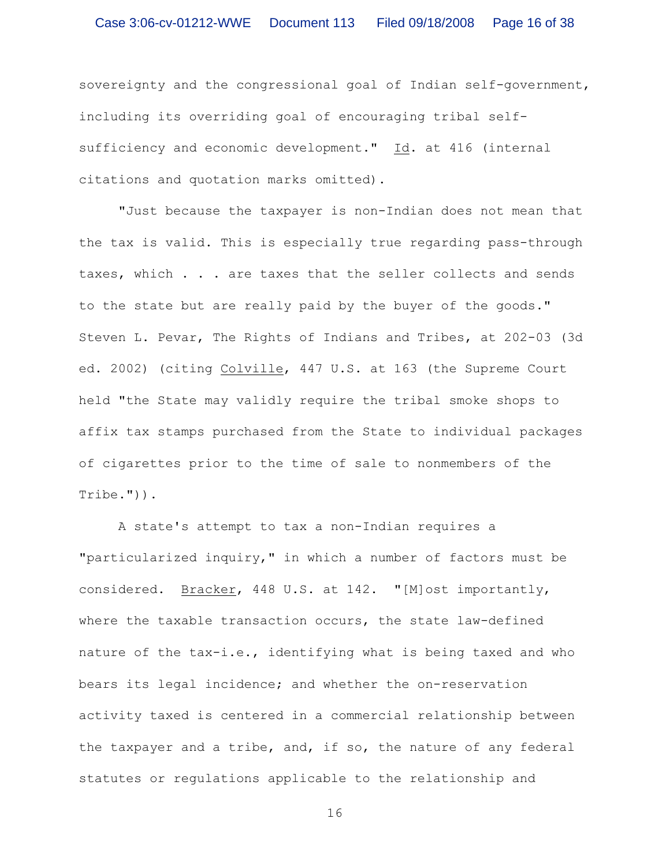sovereignty and the congressional goal of Indian self-government, including its overriding goal of encouraging tribal selfsufficiency and economic development." Id. at 416 (internal citations and quotation marks omitted).

"Just because the taxpayer is non-Indian does not mean that the tax is valid. This is especially true regarding pass-through taxes, which . . . are taxes that the seller collects and sends to the state but are really paid by the buyer of the goods." Steven L. Pevar, The Rights of Indians and Tribes, at 202-03 (3d ed. 2002) (citing Colville, 447 U.S. at 163 (the Supreme Court held "the State may validly require the tribal smoke shops to affix tax stamps purchased from the State to individual packages of cigarettes prior to the time of sale to nonmembers of the Tribe.")).

A state's attempt to tax a non-Indian requires a "particularized inquiry," in which a number of factors must be considered. Bracker, 448 U.S. at 142. "[M]ost importantly, where the taxable transaction occurs, the state law-defined nature of the tax-i.e., identifying what is being taxed and who bears its legal incidence; and whether the on-reservation activity taxed is centered in a commercial relationship between the taxpayer and a tribe, and, if so, the nature of any federal statutes or regulations applicable to the relationship and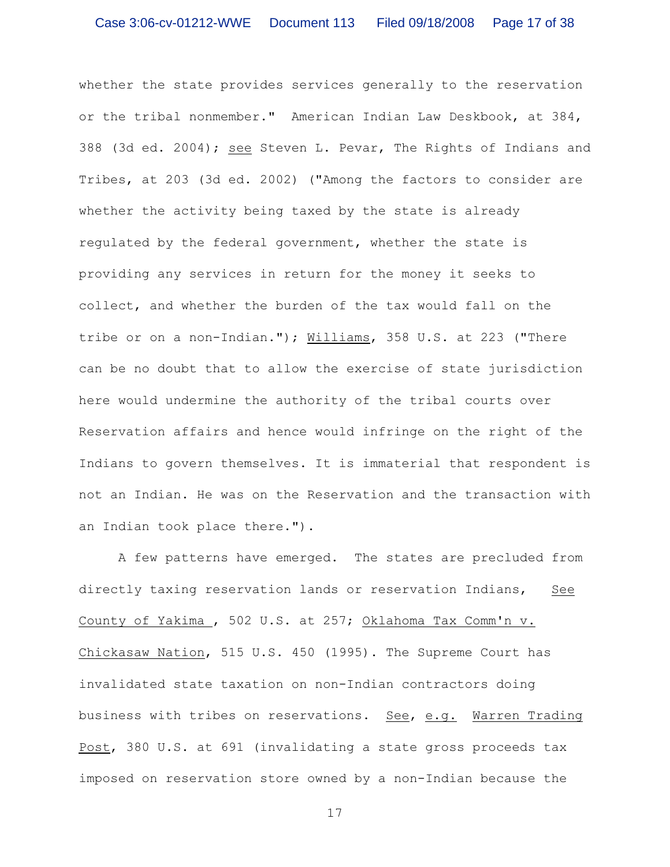whether the state provides services generally to the reservation or the tribal nonmember." American Indian Law Deskbook, at 384, 388 (3d ed. 2004); see Steven L. Pevar, The Rights of Indians and Tribes, at 203 (3d ed. 2002) ("Among the factors to consider are whether the activity being taxed by the state is already regulated by the federal government, whether the state is providing any services in return for the money it seeks to collect, and whether the burden of the tax would fall on the tribe or on a non-Indian."); Williams, 358 U.S. at 223 ("There can be no doubt that to allow the exercise of state jurisdiction here would undermine the authority of the tribal courts over Reservation affairs and hence would infringe on the right of the Indians to govern themselves. It is immaterial that respondent is not an Indian. He was on the Reservation and the transaction with an Indian took place there.").

A few patterns have emerged. The states are precluded from directly taxing reservation lands or reservation Indians, See County of Yakima , 502 U.S. at 257; Oklahoma Tax Comm'n v. Chickasaw Nation, 515 U.S. 450 (1995). The Supreme Court has invalidated state taxation on non-Indian contractors doing business with tribes on reservations. See, e.g. Warren Trading Post, 380 U.S. at 691 (invalidating a state gross proceeds tax imposed on reservation store owned by a non-Indian because the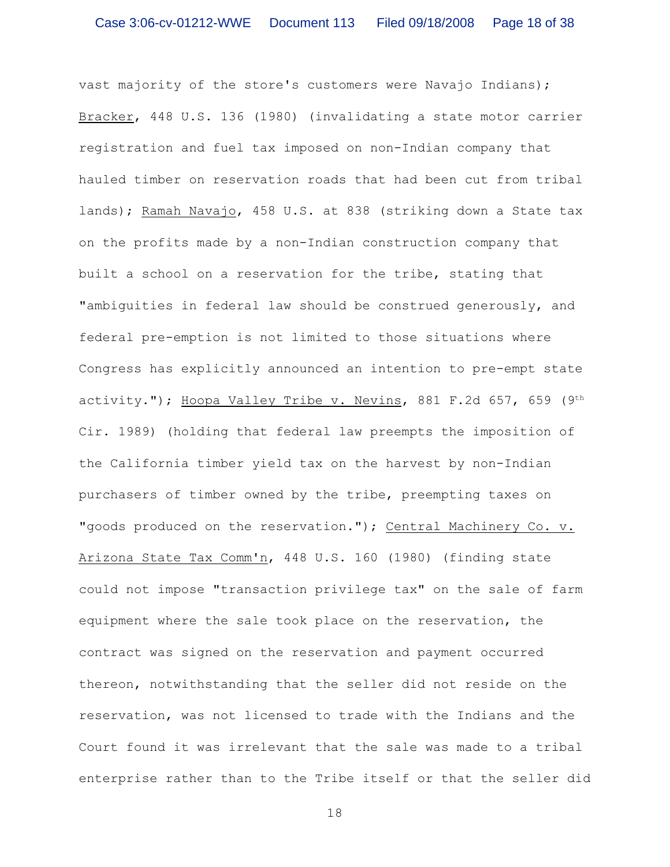vast majority of the store's customers were Navajo Indians); Bracker, 448 U.S. 136 (1980) (invalidating a state motor carrier registration and fuel tax imposed on non-Indian company that hauled timber on reservation roads that had been cut from tribal lands); Ramah Navajo, 458 U.S. at 838 (striking down a State tax on the profits made by a non-Indian construction company that built a school on a reservation for the tribe, stating that "ambiguities in federal law should be construed generously, and federal pre-emption is not limited to those situations where Congress has explicitly announced an intention to pre-empt state activity."); Hoopa Valley Tribe v. Nevins, 881 F.2d 657, 659 (9th Cir. 1989) (holding that federal law preempts the imposition of the California timber yield tax on the harvest by non-Indian purchasers of timber owned by the tribe, preempting taxes on "goods produced on the reservation."); Central Machinery Co. v. Arizona State Tax Comm'n, 448 U.S. 160 (1980) (finding state could not impose "transaction privilege tax" on the sale of farm equipment where the sale took place on the reservation, the contract was signed on the reservation and payment occurred thereon, notwithstanding that the seller did not reside on the reservation, was not licensed to trade with the Indians and the Court found it was irrelevant that the sale was made to a tribal enterprise rather than to the Tribe itself or that the seller did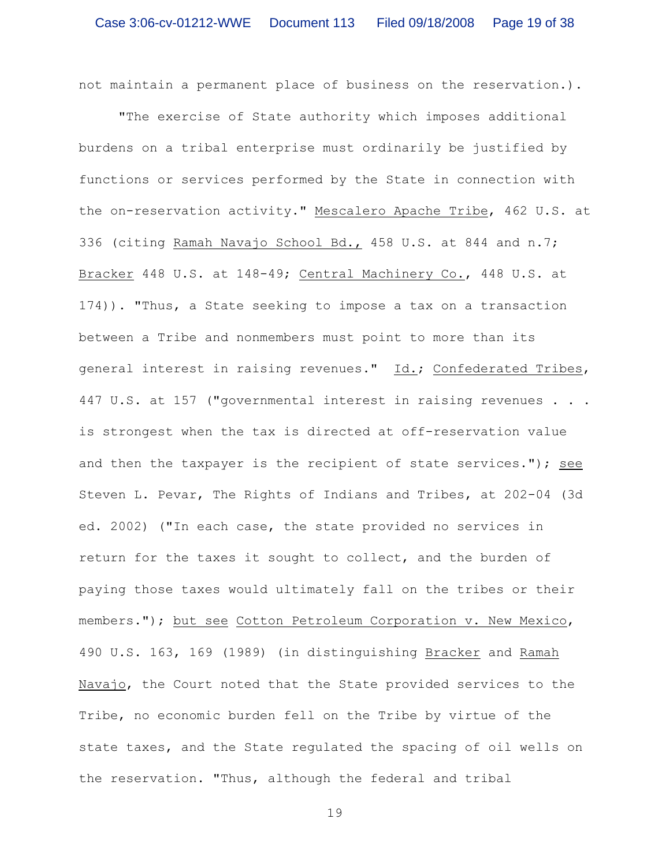not maintain a permanent place of business on the reservation.).

"The exercise of State authority which imposes additional burdens on a tribal enterprise must ordinarily be justified by functions or services performed by the State in connection with the on-reservation activity." Mescalero Apache Tribe, 462 U.S. at 336 (citing Ramah Navajo School Bd., 458 U.S. at 844 and n.7; Bracker 448 U.S. at 148-49; Central Machinery Co., 448 U.S. at 174)). "Thus, a State seeking to impose a tax on a transaction between a Tribe and nonmembers must point to more than its general interest in raising revenues." Id.; Confederated Tribes, 447 U.S. at 157 ("governmental interest in raising revenues . . . is strongest when the tax is directed at off-reservation value and then the taxpayer is the recipient of state services."); see Steven L. Pevar, The Rights of Indians and Tribes, at 202-04 (3d ed. 2002) ("In each case, the state provided no services in return for the taxes it sought to collect, and the burden of paying those taxes would ultimately fall on the tribes or their members."); but see Cotton Petroleum Corporation v. New Mexico, 490 U.S. 163, 169 (1989) (in distinguishing Bracker and Ramah Navajo, the Court noted that the State provided services to the Tribe, no economic burden fell on the Tribe by virtue of the state taxes, and the State regulated the spacing of oil wells on the reservation. "Thus, although the federal and tribal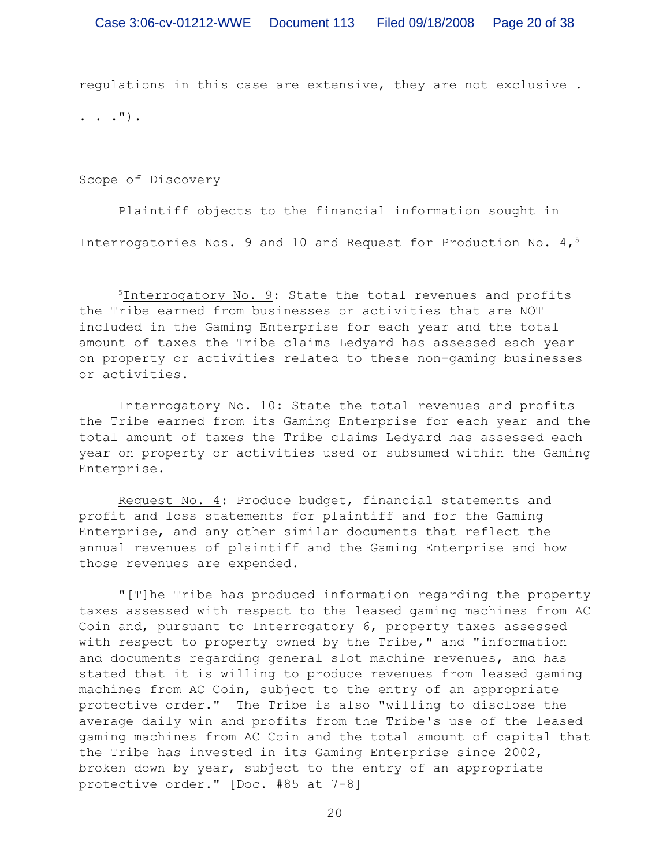regulations in this case are extensive, they are not exclusive .

 $\ldots$  .  $\ldots$  ).

## Scope of Discovery

Plaintiff objects to the financial information sought in Interrogatories Nos. 9 and 10 and Request for Production No. 4,<sup>5</sup>

Interrogatory No. 10: State the total revenues and profits the Tribe earned from its Gaming Enterprise for each year and the total amount of taxes the Tribe claims Ledyard has assessed each year on property or activities used or subsumed within the Gaming Enterprise.

Request No. 4: Produce budget, financial statements and profit and loss statements for plaintiff and for the Gaming Enterprise, and any other similar documents that reflect the annual revenues of plaintiff and the Gaming Enterprise and how those revenues are expended.

"[T]he Tribe has produced information regarding the property taxes assessed with respect to the leased gaming machines from AC Coin and, pursuant to Interrogatory 6, property taxes assessed with respect to property owned by the Tribe," and "information and documents regarding general slot machine revenues, and has stated that it is willing to produce revenues from leased gaming machines from AC Coin, subject to the entry of an appropriate protective order." The Tribe is also "willing to disclose the average daily win and profits from the Tribe's use of the leased gaming machines from AC Coin and the total amount of capital that the Tribe has invested in its Gaming Enterprise since 2002, broken down by year, subject to the entry of an appropriate protective order." [Doc. #85 at 7-8]

 $15$ Interrogatory No. 9: State the total revenues and profits the Tribe earned from businesses or activities that are NOT included in the Gaming Enterprise for each year and the total amount of taxes the Tribe claims Ledyard has assessed each year on property or activities related to these non-gaming businesses or activities.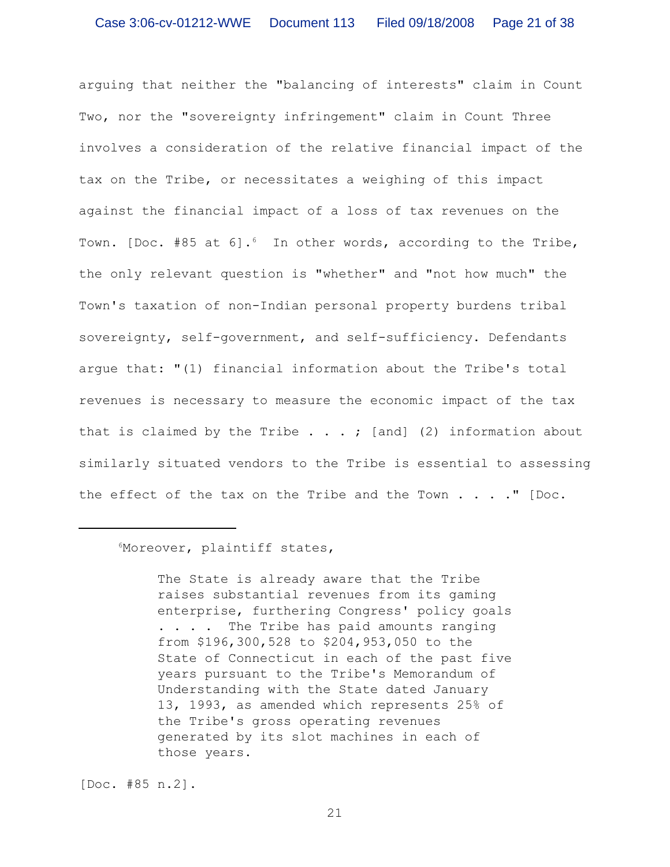arguing that neither the "balancing of interests" claim in Count Two, nor the "sovereignty infringement" claim in Count Three involves a consideration of the relative financial impact of the tax on the Tribe, or necessitates a weighing of this impact against the financial impact of a loss of tax revenues on the Town. [Doc. #85 at 6].<sup>6</sup> In other words, according to the Tribe, the only relevant question is "whether" and "not how much" the Town's taxation of non-Indian personal property burdens tribal sovereignty, self-government, and self-sufficiency. Defendants argue that: "(1) financial information about the Tribe's total revenues is necessary to measure the economic impact of the tax that is claimed by the Tribe  $\ldots$  ; [and] (2) information about similarly situated vendors to the Tribe is essential to assessing the effect of the tax on the Tribe and the Town  $\ldots$ ." [Doc.

# Moreover, plaintiff states, <sup>6</sup>

The State is already aware that the Tribe raises substantial revenues from its gaming enterprise, furthering Congress' policy goals . . . . The Tribe has paid amounts ranging from \$196,300,528 to \$204,953,050 to the State of Connecticut in each of the past five years pursuant to the Tribe's Memorandum of Understanding with the State dated January 13, 1993, as amended which represents 25% of the Tribe's gross operating revenues generated by its slot machines in each of those years.

[Doc. #85 n.2].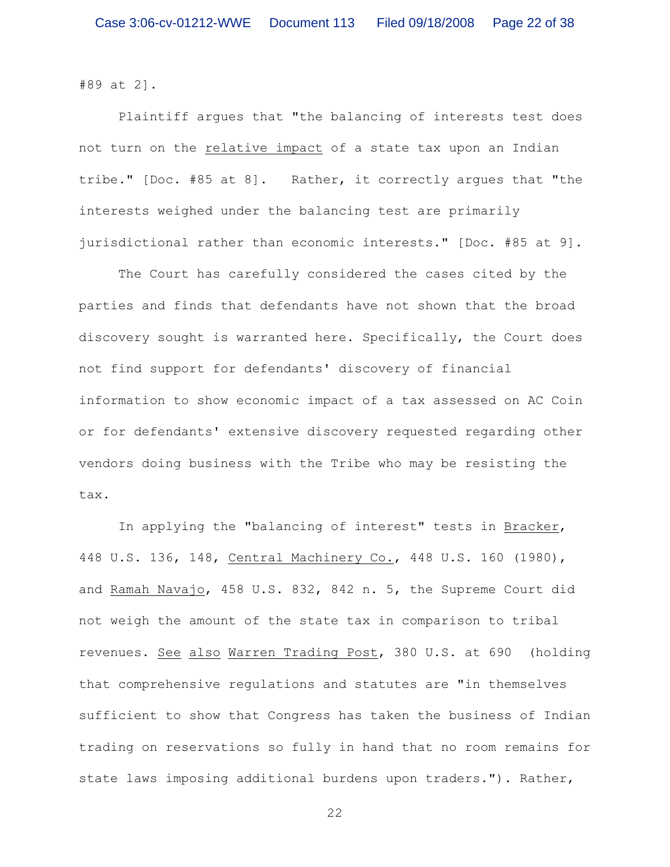#89 at 2].

Plaintiff argues that "the balancing of interests test does not turn on the relative impact of a state tax upon an Indian tribe." [Doc. #85 at 8]. Rather, it correctly argues that "the interests weighed under the balancing test are primarily jurisdictional rather than economic interests." [Doc. #85 at 9].

The Court has carefully considered the cases cited by the parties and finds that defendants have not shown that the broad discovery sought is warranted here. Specifically, the Court does not find support for defendants' discovery of financial information to show economic impact of a tax assessed on AC Coin or for defendants' extensive discovery requested regarding other vendors doing business with the Tribe who may be resisting the tax.

In applying the "balancing of interest" tests in Bracker, 448 U.S. 136, 148, Central Machinery Co., 448 U.S. 160 (1980), and Ramah Navajo, 458 U.S. 832, 842 n. 5, the Supreme Court did not weigh the amount of the state tax in comparison to tribal revenues. See also Warren Trading Post, 380 U.S. at 690 (holding that comprehensive regulations and statutes are "in themselves sufficient to show that Congress has taken the business of Indian trading on reservations so fully in hand that no room remains for state laws imposing additional burdens upon traders."). Rather,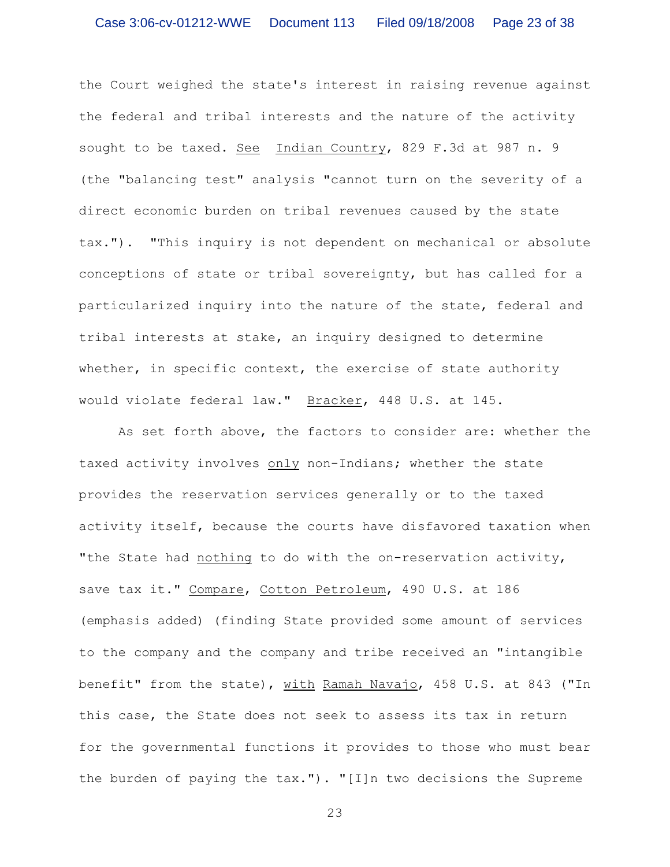the Court weighed the state's interest in raising revenue against the federal and tribal interests and the nature of the activity sought to be taxed. See Indian Country, 829 F.3d at 987 n. 9 (the "balancing test" analysis "cannot turn on the severity of a direct economic burden on tribal revenues caused by the state tax."). "This inquiry is not dependent on mechanical or absolute conceptions of state or tribal sovereignty, but has called for a particularized inquiry into the nature of the state, federal and tribal interests at stake, an inquiry designed to determine whether, in specific context, the exercise of state authority would violate federal law." Bracker, 448 U.S. at 145.

As set forth above, the factors to consider are: whether the taxed activity involves only non-Indians; whether the state provides the reservation services generally or to the taxed activity itself, because the courts have disfavored taxation when "the State had nothing to do with the on-reservation activity, save tax it." Compare, Cotton Petroleum, 490 U.S. at 186 (emphasis added) (finding State provided some amount of services to the company and the company and tribe received an "intangible benefit" from the state), with Ramah Navajo, 458 U.S. at 843 ("In this case, the State does not seek to assess its tax in return for the governmental functions it provides to those who must bear the burden of paying the tax."). "[I]n two decisions the Supreme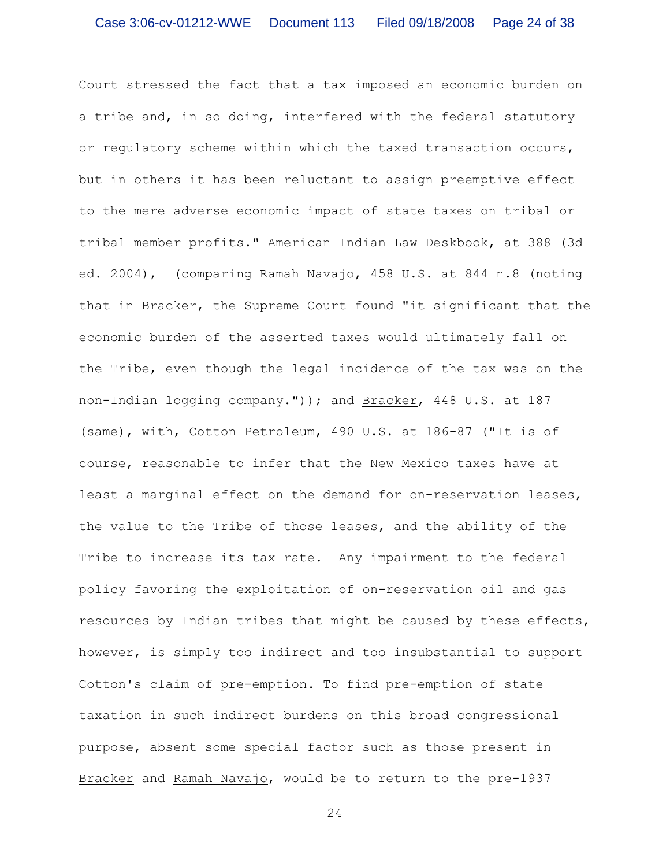Court stressed the fact that a tax imposed an economic burden on a tribe and, in so doing, interfered with the federal statutory or regulatory scheme within which the taxed transaction occurs, but in others it has been reluctant to assign preemptive effect to the mere adverse economic impact of state taxes on tribal or tribal member profits." American Indian Law Deskbook, at 388 (3d ed. 2004), (comparing Ramah Navajo, 458 U.S. at 844 n.8 (noting that in Bracker, the Supreme Court found "it significant that the economic burden of the asserted taxes would ultimately fall on the Tribe, even though the legal incidence of the tax was on the non-Indian logging company.")); and Bracker, 448 U.S. at 187 (same), with, Cotton Petroleum, 490 U.S. at 186-87 ("It is of course, reasonable to infer that the New Mexico taxes have at least a marginal effect on the demand for on-reservation leases, the value to the Tribe of those leases, and the ability of the Tribe to increase its tax rate. Any impairment to the federal policy favoring the exploitation of on-reservation oil and gas resources by Indian tribes that might be caused by these effects, however, is simply too indirect and too insubstantial to support Cotton's claim of pre-emption. To find pre-emption of state taxation in such indirect burdens on this broad congressional purpose, absent some special factor such as those present in Bracker and Ramah Navajo, would be to return to the pre-1937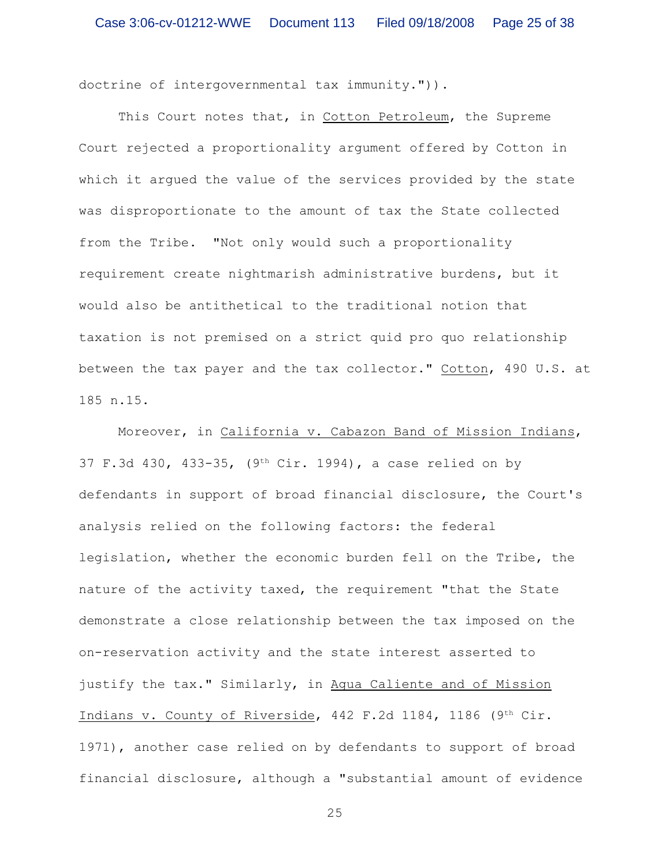doctrine of intergovernmental tax immunity.")).

This Court notes that, in Cotton Petroleum, the Supreme Court rejected a proportionality argument offered by Cotton in which it argued the value of the services provided by the state was disproportionate to the amount of tax the State collected from the Tribe. "Not only would such a proportionality requirement create nightmarish administrative burdens, but it would also be antithetical to the traditional notion that taxation is not premised on a strict quid pro quo relationship between the tax payer and the tax collector." Cotton, 490 U.S. at 185 n.15.

Moreover, in California v. Cabazon Band of Mission Indians, 37 F.3d 430, 433-35, (9th Cir. 1994), a case relied on by defendants in support of broad financial disclosure, the Court's analysis relied on the following factors: the federal legislation, whether the economic burden fell on the Tribe, the nature of the activity taxed, the requirement "that the State demonstrate a close relationship between the tax imposed on the on-reservation activity and the state interest asserted to justify the tax." Similarly, in Agua Caliente and of Mission Indians v. County of Riverside, 442 F.2d 1184, 1186 (9th Cir. 1971), another case relied on by defendants to support of broad financial disclosure, although a "substantial amount of evidence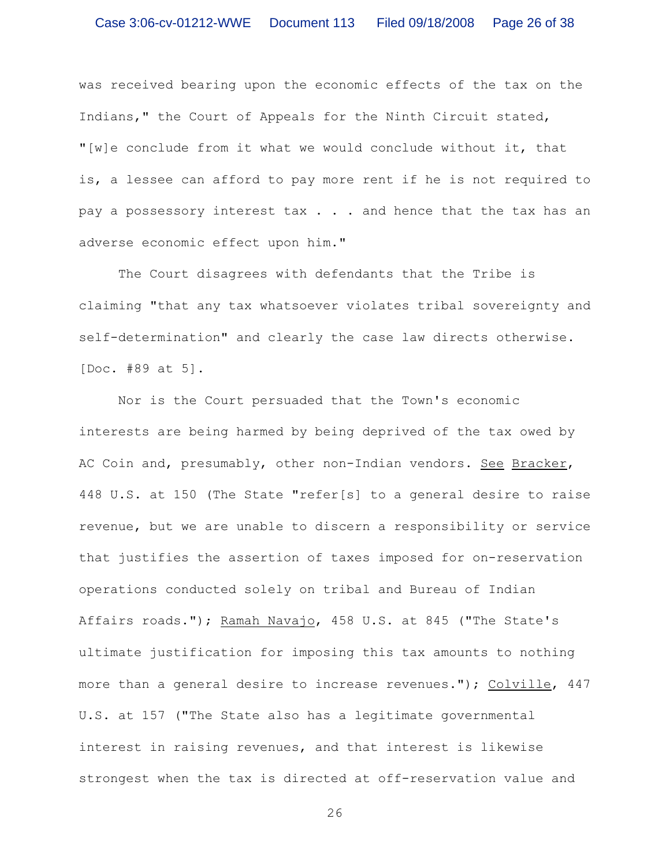was received bearing upon the economic effects of the tax on the Indians," the Court of Appeals for the Ninth Circuit stated, "[w]e conclude from it what we would conclude without it, that is, a lessee can afford to pay more rent if he is not required to pay a possessory interest tax . . . and hence that the tax has an adverse economic effect upon him."

The Court disagrees with defendants that the Tribe is claiming "that any tax whatsoever violates tribal sovereignty and self-determination" and clearly the case law directs otherwise. [Doc. #89 at 5].

Nor is the Court persuaded that the Town's economic interests are being harmed by being deprived of the tax owed by AC Coin and, presumably, other non-Indian vendors. See Bracker, 448 U.S. at 150 (The State "refer[s] to a general desire to raise revenue, but we are unable to discern a responsibility or service that justifies the assertion of taxes imposed for on-reservation operations conducted solely on tribal and Bureau of Indian Affairs roads."); Ramah Navajo, 458 U.S. at 845 ("The State's ultimate justification for imposing this tax amounts to nothing more than a general desire to increase revenues."); Colville, 447 U.S. at 157 ("The State also has a legitimate governmental interest in raising revenues, and that interest is likewise strongest when the tax is directed at off-reservation value and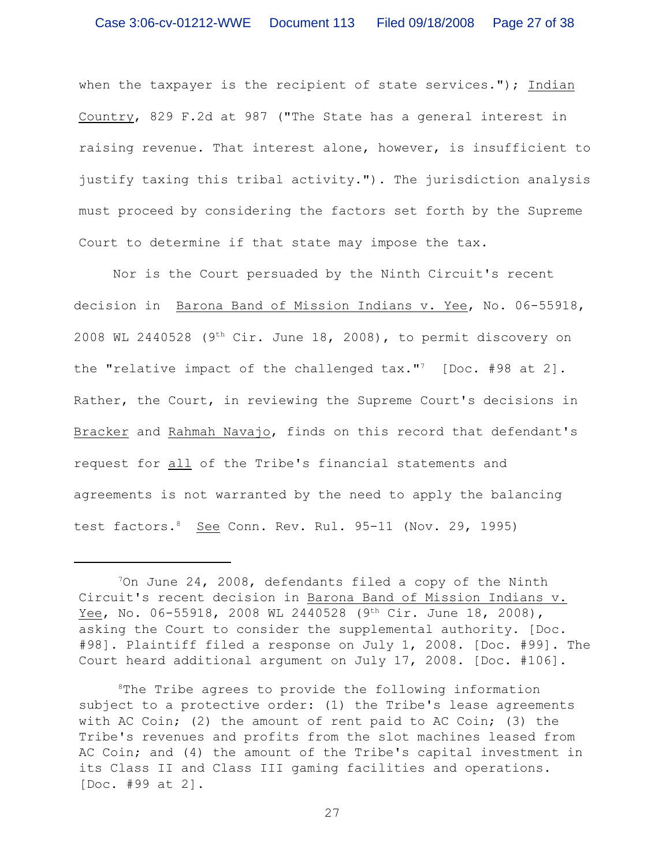when the taxpayer is the recipient of state services."); Indian Country, 829 F.2d at 987 ("The State has a general interest in raising revenue. That interest alone, however, is insufficient to justify taxing this tribal activity."). The jurisdiction analysis must proceed by considering the factors set forth by the Supreme Court to determine if that state may impose the tax.

Nor is the Court persuaded by the Ninth Circuit's recent decision in Barona Band of Mission Indians v. Yee, No. 06-55918, 2008 WL 2440528 (9<sup>th</sup> Cir. June 18, 2008), to permit discovery on the "relative impact of the challenged  $\text{tax.}$ " [Doc. #98 at 2]. Rather, the Court, in reviewing the Supreme Court's decisions in Bracker and Rahmah Navajo, finds on this record that defendant's request for all of the Tribe's financial statements and agreements is not warranted by the need to apply the balancing test factors.<sup>8</sup> See Conn. Rev. Rul. 95-11 (Nov. 29, 1995)

 $\frac{70n}{100}$  June 24, 2008, defendants filed a copy of the Ninth Circuit's recent decision in Barona Band of Mission Indians v. Yee, No. 06-55918, 2008 WL 2440528 (9th Cir. June 18, 2008), asking the Court to consider the supplemental authority. [Doc. #98]. Plaintiff filed a response on July 1, 2008. [Doc. #99]. The Court heard additional argument on July 17, 2008. [Doc. #106].

 ${}^8$ The Tribe agrees to provide the following information subject to a protective order: (1) the Tribe's lease agreements with AC Coin; (2) the amount of rent paid to AC Coin; (3) the Tribe's revenues and profits from the slot machines leased from AC Coin; and (4) the amount of the Tribe's capital investment in its Class II and Class III gaming facilities and operations. [Doc. #99 at 2].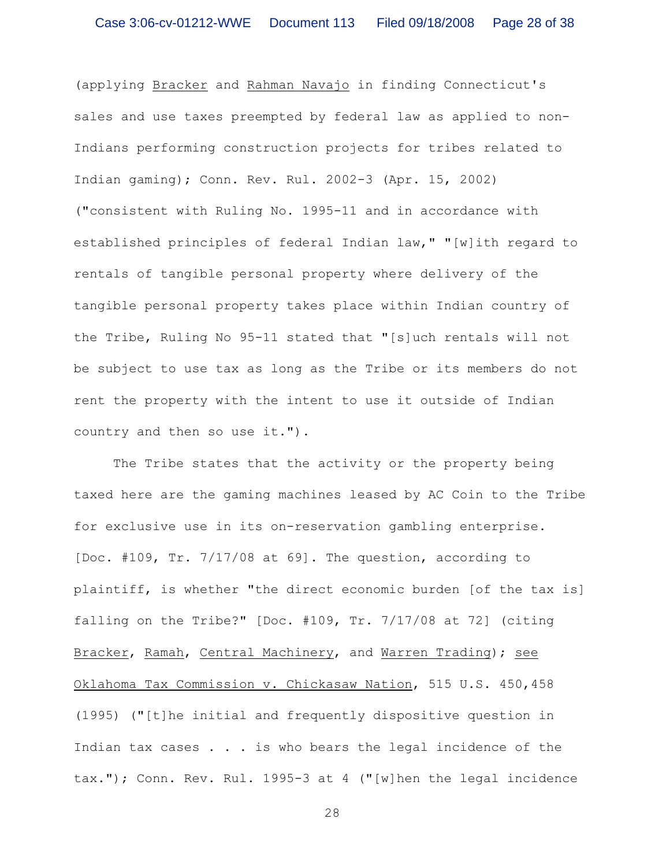(applying Bracker and Rahman Navajo in finding Connecticut's sales and use taxes preempted by federal law as applied to non-Indians performing construction projects for tribes related to Indian gaming); Conn. Rev. Rul. 2002-3 (Apr. 15, 2002) ("consistent with Ruling No. 1995-11 and in accordance with established principles of federal Indian law," "[w]ith regard to rentals of tangible personal property where delivery of the tangible personal property takes place within Indian country of the Tribe, Ruling No 95-11 stated that "[s]uch rentals will not be subject to use tax as long as the Tribe or its members do not rent the property with the intent to use it outside of Indian country and then so use it.").

The Tribe states that the activity or the property being taxed here are the gaming machines leased by AC Coin to the Tribe for exclusive use in its on-reservation gambling enterprise. [Doc. #109, Tr. 7/17/08 at 69]. The question, according to plaintiff, is whether "the direct economic burden [of the tax is] falling on the Tribe?" [Doc. #109, Tr. 7/17/08 at 72] (citing Bracker, Ramah, Central Machinery, and Warren Trading); see Oklahoma Tax Commission v. Chickasaw Nation, 515 U.S. 450,458 (1995) ("[t]he initial and frequently dispositive question in Indian tax cases . . . is who bears the legal incidence of the tax."); Conn. Rev. Rul. 1995-3 at 4 ("[w]hen the legal incidence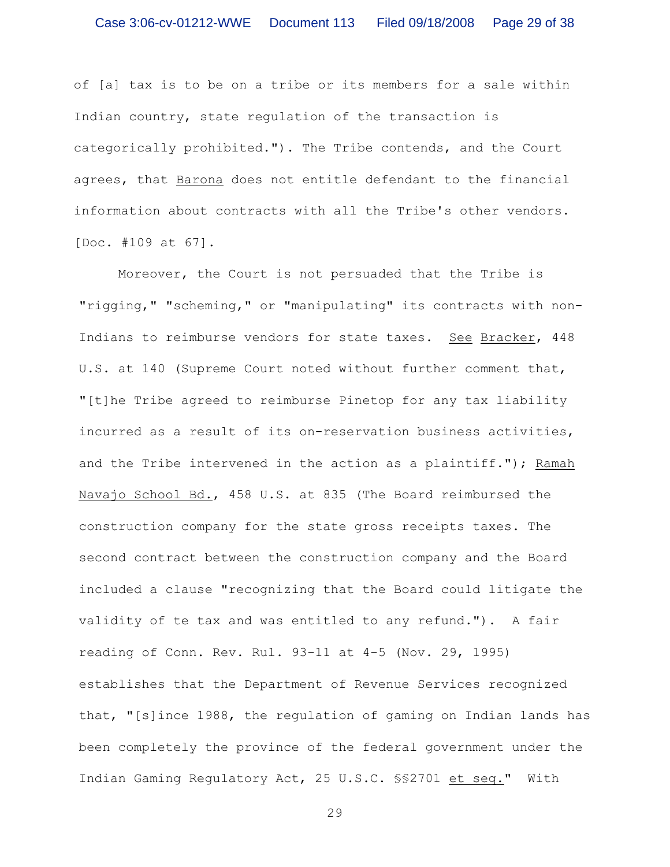of [a] tax is to be on a tribe or its members for a sale within Indian country, state regulation of the transaction is categorically prohibited."). The Tribe contends, and the Court agrees, that Barona does not entitle defendant to the financial information about contracts with all the Tribe's other vendors. [Doc. #109 at 67].

Moreover, the Court is not persuaded that the Tribe is "rigging," "scheming," or "manipulating" its contracts with non-Indians to reimburse vendors for state taxes. See Bracker, 448 U.S. at 140 (Supreme Court noted without further comment that, "[t]he Tribe agreed to reimburse Pinetop for any tax liability incurred as a result of its on-reservation business activities, and the Tribe intervened in the action as a plaintiff."); Ramah Navajo School Bd., 458 U.S. at 835 (The Board reimbursed the construction company for the state gross receipts taxes. The second contract between the construction company and the Board included a clause "recognizing that the Board could litigate the validity of te tax and was entitled to any refund."). A fair reading of Conn. Rev. Rul. 93-11 at 4-5 (Nov. 29, 1995) establishes that the Department of Revenue Services recognized that, "[s]ince 1988, the regulation of gaming on Indian lands has been completely the province of the federal government under the Indian Gaming Regulatory Act, 25 U.S.C. §§2701 et seq." With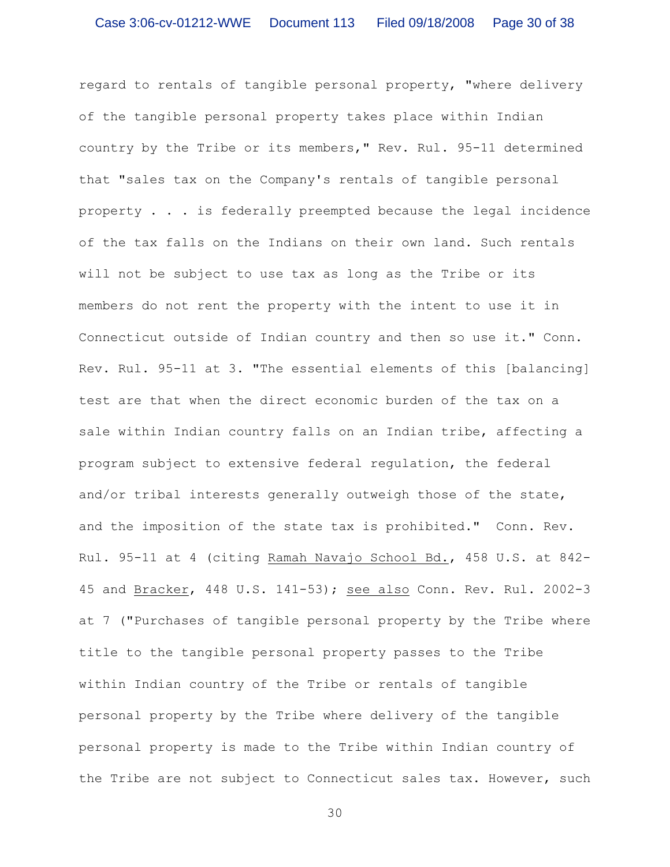regard to rentals of tangible personal property, "where delivery of the tangible personal property takes place within Indian country by the Tribe or its members," Rev. Rul. 95-11 determined that "sales tax on the Company's rentals of tangible personal property . . . is federally preempted because the legal incidence of the tax falls on the Indians on their own land. Such rentals will not be subject to use tax as long as the Tribe or its members do not rent the property with the intent to use it in Connecticut outside of Indian country and then so use it." Conn. Rev. Rul. 95-11 at 3. "The essential elements of this [balancing] test are that when the direct economic burden of the tax on a sale within Indian country falls on an Indian tribe, affecting a program subject to extensive federal regulation, the federal and/or tribal interests generally outweigh those of the state, and the imposition of the state tax is prohibited." Conn. Rev. Rul. 95-11 at 4 (citing Ramah Navajo School Bd., 458 U.S. at 842- 45 and Bracker, 448 U.S. 141-53); see also Conn. Rev. Rul. 2002-3 at 7 ("Purchases of tangible personal property by the Tribe where title to the tangible personal property passes to the Tribe within Indian country of the Tribe or rentals of tangible personal property by the Tribe where delivery of the tangible personal property is made to the Tribe within Indian country of the Tribe are not subject to Connecticut sales tax. However, such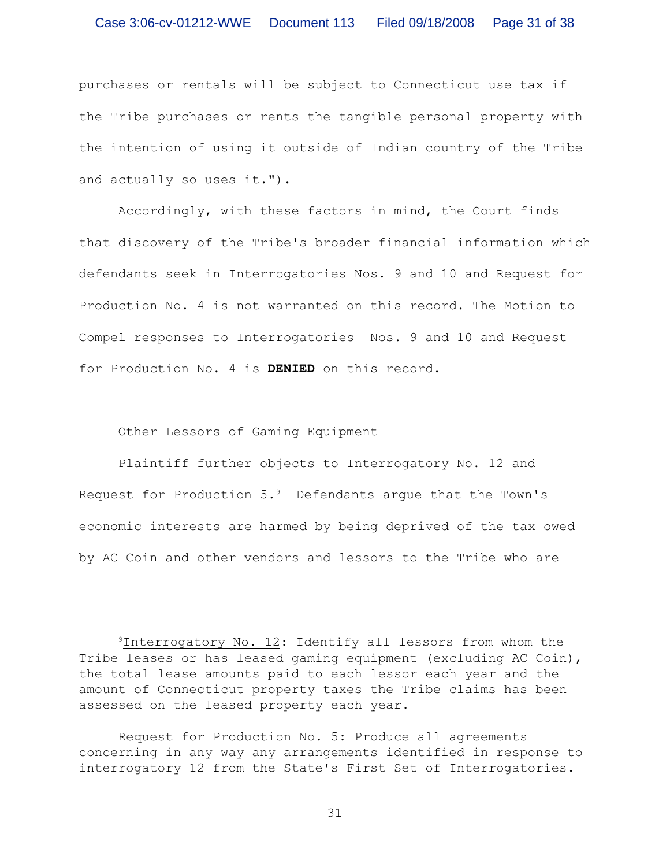purchases or rentals will be subject to Connecticut use tax if the Tribe purchases or rents the tangible personal property with the intention of using it outside of Indian country of the Tribe and actually so uses it.").

Accordingly, with these factors in mind, the Court finds that discovery of the Tribe's broader financial information which defendants seek in Interrogatories Nos. 9 and 10 and Request for Production No. 4 is not warranted on this record. The Motion to Compel responses to Interrogatories Nos. 9 and 10 and Request for Production No. 4 is **DENIED** on this record.

## Other Lessors of Gaming Equipment

Plaintiff further objects to Interrogatory No. 12 and Request for Production  $5.^9$  Defendants arque that the Town's economic interests are harmed by being deprived of the tax owed by AC Coin and other vendors and lessors to the Tribe who are

 $9$ Interrogatory No. 12: Identify all lessors from whom the Tribe leases or has leased gaming equipment (excluding AC Coin), the total lease amounts paid to each lessor each year and the amount of Connecticut property taxes the Tribe claims has been assessed on the leased property each year.

Request for Production No. 5: Produce all agreements concerning in any way any arrangements identified in response to interrogatory 12 from the State's First Set of Interrogatories.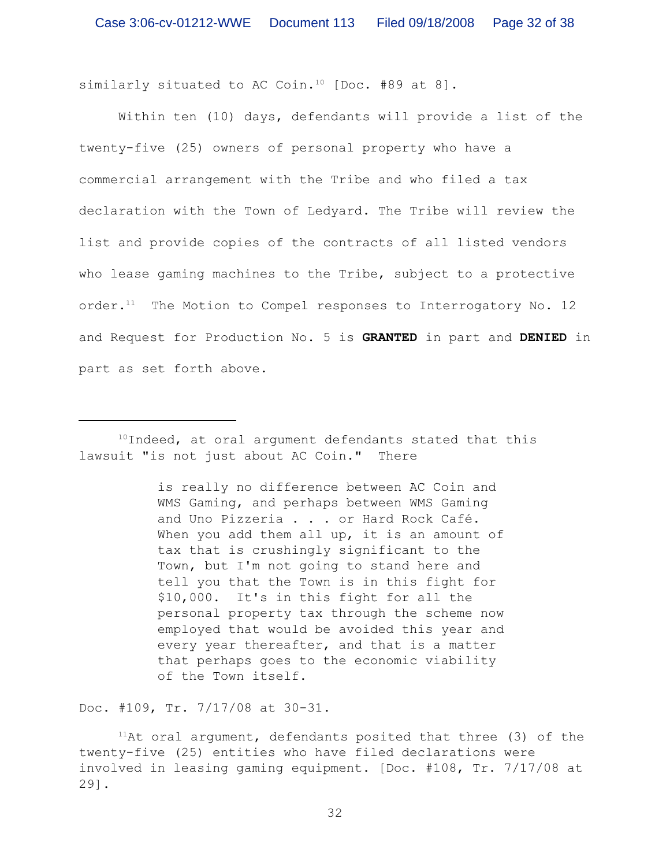similarly situated to AC Coin.<sup>10</sup> [Doc. #89 at 8].

Within ten (10) days, defendants will provide a list of the twenty-five (25) owners of personal property who have a commercial arrangement with the Tribe and who filed a tax declaration with the Town of Ledyard. The Tribe will review the list and provide copies of the contracts of all listed vendors who lease gaming machines to the Tribe, subject to a protective order. $11$  The Motion to Compel responses to Interrogatory No. 12 and Request for Production No. 5 is **GRANTED** in part and **DENIED** in part as set forth above**.**

 $10$ Indeed, at oral argument defendants stated that this lawsuit "is not just about AC Coin." There

> is really no difference between AC Coin and WMS Gaming, and perhaps between WMS Gaming and Uno Pizzeria . . . or Hard Rock Café. When you add them all up, it is an amount of tax that is crushingly significant to the Town, but I'm not going to stand here and tell you that the Town is in this fight for \$10,000. It's in this fight for all the personal property tax through the scheme now employed that would be avoided this year and every year thereafter, and that is a matter that perhaps goes to the economic viability of the Town itself.

Doc. #109, Tr. 7/17/08 at 30-31.

 $11$ At oral argument, defendants posited that three (3) of the twenty-five (25) entities who have filed declarations were involved in leasing gaming equipment. [Doc. #108, Tr. 7/17/08 at 29].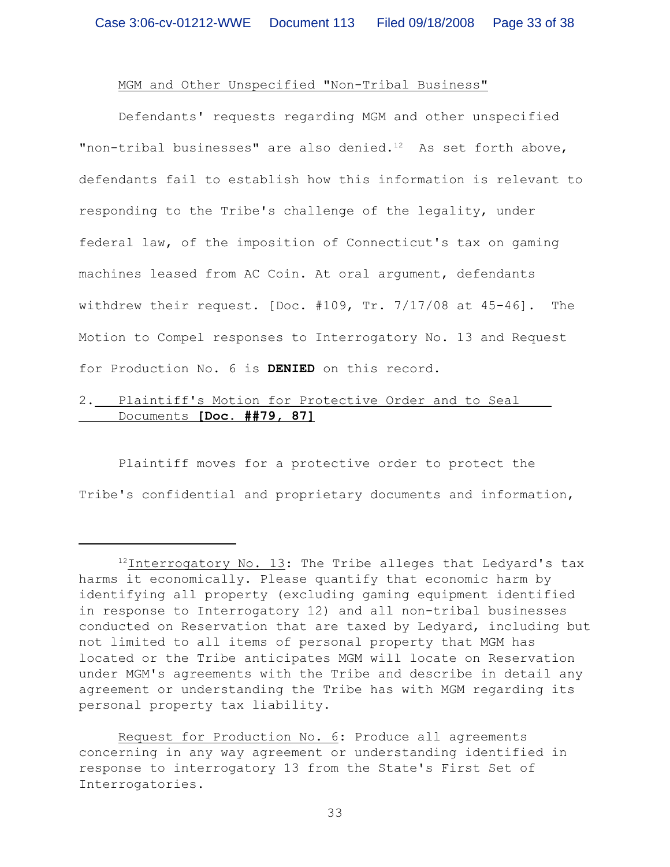# MGM and Other Unspecified "Non-Tribal Business"

Defendants' requests regarding MGM and other unspecified "non-tribal businesses" are also denied. $12$  As set forth above, defendants fail to establish how this information is relevant to responding to the Tribe's challenge of the legality, under federal law, of the imposition of Connecticut's tax on gaming machines leased from AC Coin. At oral argument, defendants withdrew their request. [Doc. #109, Tr. 7/17/08 at 45-46]. The Motion to Compel responses to Interrogatory No. 13 and Request for Production No. 6 is **DENIED** on this record.

# 2. Plaintiff's Motion for Protective Order and to Seal Documents **[Doc. ##79, 87]**

Plaintiff moves for a protective order to protect the Tribe's confidential and proprietary documents and information,

 $12$ Interrogatory No. 13: The Tribe alleges that Ledyard's tax harms it economically. Please quantify that economic harm by identifying all property (excluding gaming equipment identified in response to Interrogatory 12) and all non-tribal businesses conducted on Reservation that are taxed by Ledyard, including but not limited to all items of personal property that MGM has located or the Tribe anticipates MGM will locate on Reservation under MGM's agreements with the Tribe and describe in detail any agreement or understanding the Tribe has with MGM regarding its personal property tax liability.

Request for Production No. 6: Produce all agreements concerning in any way agreement or understanding identified in response to interrogatory 13 from the State's First Set of Interrogatories.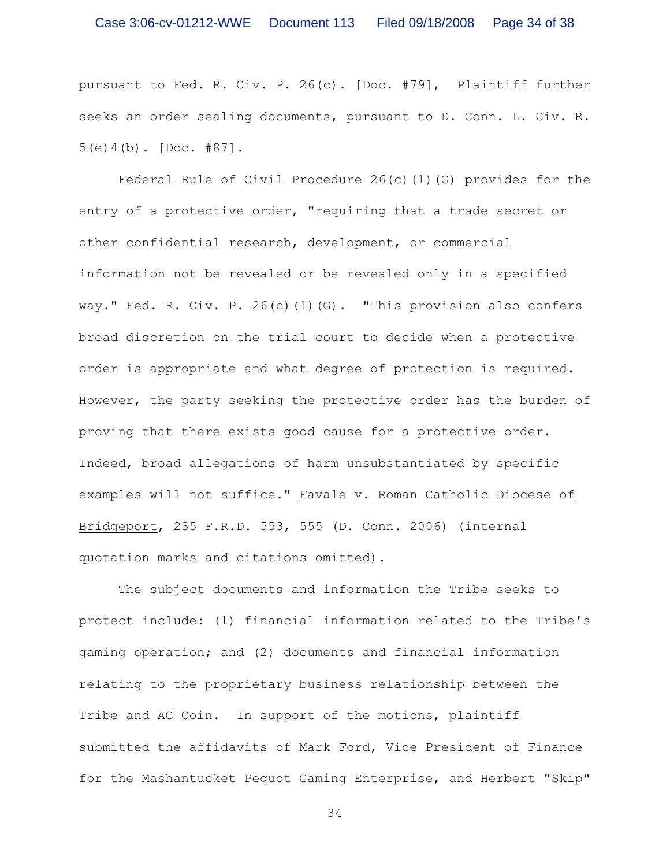pursuant to Fed. R. Civ. P. 26(c). [Doc. #79], Plaintiff further seeks an order sealing documents, pursuant to D. Conn. L. Civ. R. 5(e)4(b). [Doc. #87].

Federal Rule of Civil Procedure  $26(c)(1)(G)$  provides for the entry of a protective order, "requiring that a trade secret or other confidential research, development, or commercial information not be revealed or be revealed only in a specified way." Fed. R. Civ. P. 26(c)(1)(G). "This provision also confers broad discretion on the trial court to decide when a protective order is appropriate and what degree of protection is required. However, the party seeking the protective order has the burden of proving that there exists good cause for a protective order. Indeed, broad allegations of harm unsubstantiated by specific examples will not suffice." Favale v. Roman Catholic Diocese of Bridgeport, 235 F.R.D. 553, 555 (D. Conn. 2006) (internal quotation marks and citations omitted).

The subject documents and information the Tribe seeks to protect include: (1) financial information related to the Tribe's gaming operation; and (2) documents and financial information relating to the proprietary business relationship between the Tribe and AC Coin. In support of the motions, plaintiff submitted the affidavits of Mark Ford, Vice President of Finance for the Mashantucket Pequot Gaming Enterprise, and Herbert "Skip"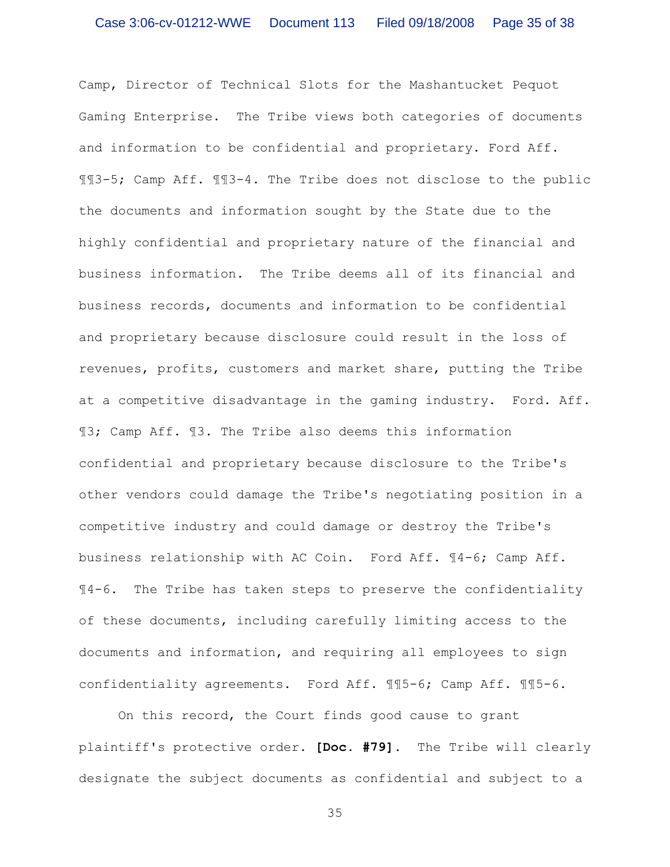Camp, Director of Technical Slots for the Mashantucket Pequot Gaming Enterprise. The Tribe views both categories of documents and information to be confidential and proprietary. Ford Aff. ¶¶3-5; Camp Aff. ¶¶3-4. The Tribe does not disclose to the public the documents and information sought by the State due to the highly confidential and proprietary nature of the financial and business information. The Tribe deems all of its financial and business records, documents and information to be confidential and proprietary because disclosure could result in the loss of revenues, profits, customers and market share, putting the Tribe at a competitive disadvantage in the gaming industry. Ford. Aff. ¶3; Camp Aff. ¶3. The Tribe also deems this information confidential and proprietary because disclosure to the Tribe's other vendors could damage the Tribe's negotiating position in a competitive industry and could damage or destroy the Tribe's business relationship with AC Coin. Ford Aff. ¶4-6; Camp Aff. ¶4-6. The Tribe has taken steps to preserve the confidentiality of these documents, including carefully limiting access to the documents and information, and requiring all employees to sign confidentiality agreements. Ford Aff. ¶¶5-6; Camp Aff. ¶¶5-6.

On this record, the Court finds good cause to grant plaintiff's protective order. **[Doc. #79].** The Tribe will clearly designate the subject documents as confidential and subject to a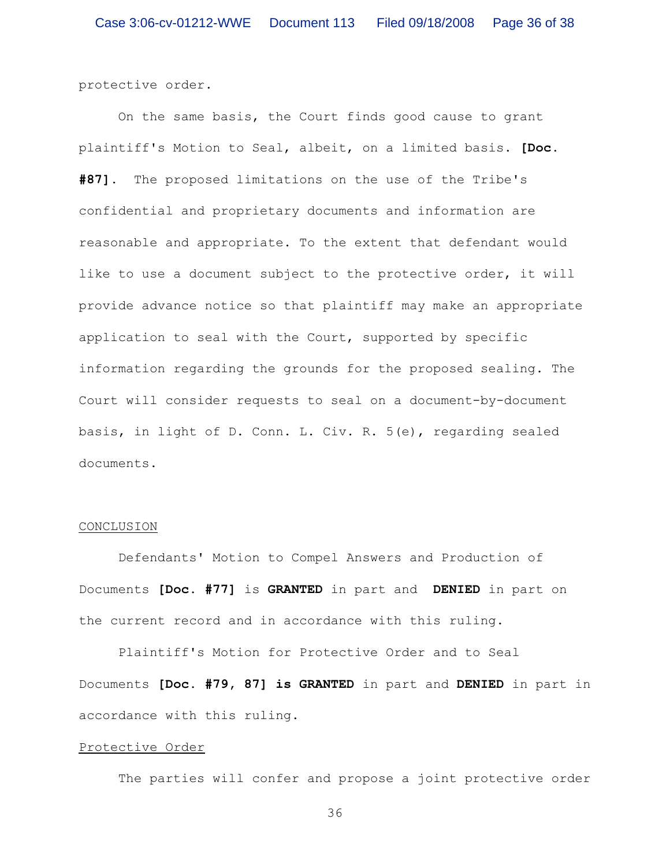protective order.

On the same basis, the Court finds good cause to grant plaintiff's Motion to Seal, albeit, on a limited basis. **[Doc. #87].** The proposed limitations on the use of the Tribe's confidential and proprietary documents and information are reasonable and appropriate. To the extent that defendant would like to use a document subject to the protective order, it will provide advance notice so that plaintiff may make an appropriate application to seal with the Court, supported by specific information regarding the grounds for the proposed sealing. The Court will consider requests to seal on a document-by-document basis, in light of D. Conn. L. Civ. R. 5(e), regarding sealed documents.

#### CONCLUSION

Defendants' Motion to Compel Answers and Production of Documents **[Doc. #77]** is **GRANTED** in part and **DENIED** in part on the current record and in accordance with this ruling.

Plaintiff's Motion for Protective Order and to Seal Documents **[Doc. #79, 87] is GRANTED** in part and **DENIED** in part in accordance with this ruling.

### Protective Order

The parties will confer and propose a joint protective order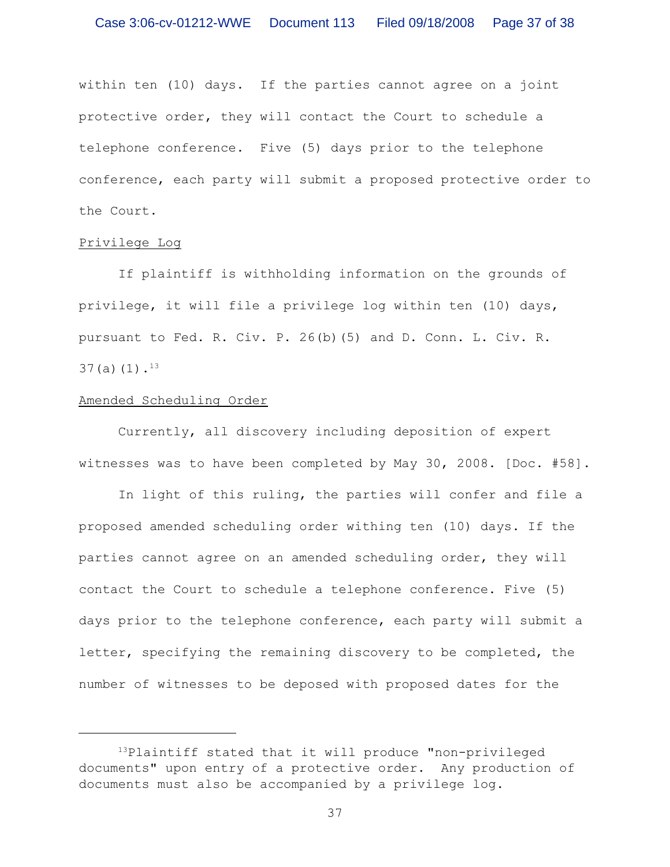within ten (10) days. If the parties cannot agree on a joint protective order, they will contact the Court to schedule a telephone conference. Five (5) days prior to the telephone conference, each party will submit a proposed protective order to the Court.

# Privilege Log

If plaintiff is withholding information on the grounds of privilege, it will file a privilege log within ten (10) days, pursuant to Fed. R. Civ. P. 26(b)(5) and D. Conn. L. Civ. R.  $37(a)(1).$ <sup>13</sup>

# Amended Scheduling Order

Currently, all discovery including deposition of expert witnesses was to have been completed by May 30, 2008. [Doc. #58].

In light of this ruling, the parties will confer and file a proposed amended scheduling order withing ten (10) days. If the parties cannot agree on an amended scheduling order, they will contact the Court to schedule a telephone conference. Five (5) days prior to the telephone conference, each party will submit a letter, specifying the remaining discovery to be completed, the number of witnesses to be deposed with proposed dates for the

 $13$ Plaintiff stated that it will produce "non-privileged documents" upon entry of a protective order. Any production of documents must also be accompanied by a privilege log.